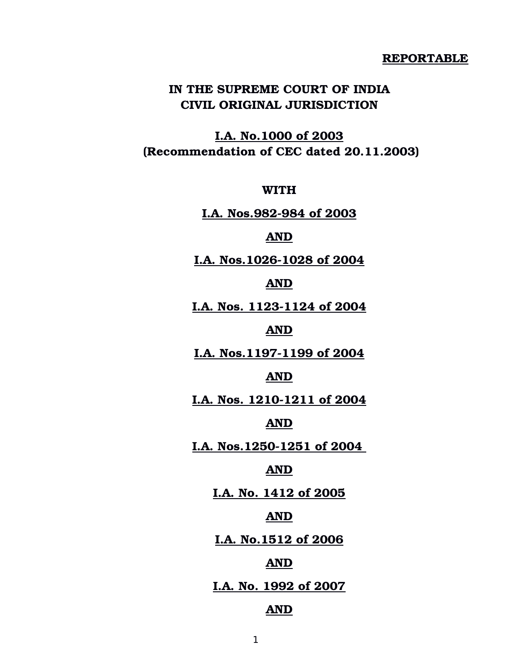#### **REPORTABLE**

# **IN THE SUPREME COURT OF INDIA CIVIL ORIGINAL JURISDICTION**

**I.A. No.1000 of 2003 (Recommendation of CEC dated 20.11.2003)**

**WITH**

**I.A. Nos.982-984 of 2003** 

## **AND**

I.A. Nos.1026-1028 of 2004

## **AND**

**I.A. Nos. 1123-1124 of 2004** 

## **AND**

**I.A. Nos.11971199 of 2004**

#### **AND**

**I.A. Nos. 1210-1211 of 2004** 

## **AND**

**I.A. Nos.1250-1251 of 2004** 

#### **AND**

**I.A. No. 1412 of 2005**

### **AND**

**I.A. No.1512 of 2006**

## **AND**

## **I.A. No. 1992 of 2007**

### **AND**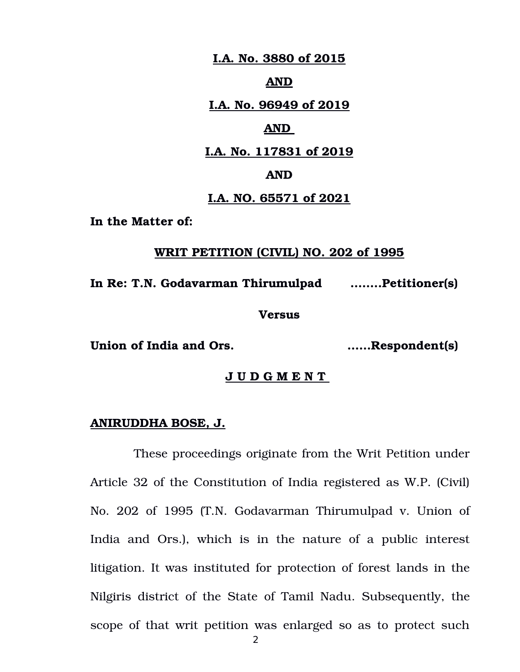**I.A. No. 3880 of 2015**

#### **AND**

**I.A. No. 96949 of 2019**

## **AND**

**I.A. No. 117831 of 2019**

### **AND**

### **I.A. NO. 65571 of 2021**

**In the Matter of:** 

### **WRIT PETITION (CIVIL) NO. 202 of 1995**

**In Re: T.N. Godavarman Thirumulpad ……..Petitioner(s)**

**Versus**

**Union of India and Ors. ……Respondent(s)**

## **J U D G M E N T**

#### **ANIRUDDHA BOSE, J.**

These proceedings originate from the Writ Petition under Article 32 of the Constitution of India registered as W.P. (Civil) No. 202 of 1995 (T.N. Godavarman Thirumulpad v. Union of India and Ors.), which is in the nature of a public interest litigation. It was instituted for protection of forest lands in the Nilgiris district of the State of Tamil Nadu. Subsequently, the scope of that writ petition was enlarged so as to protect such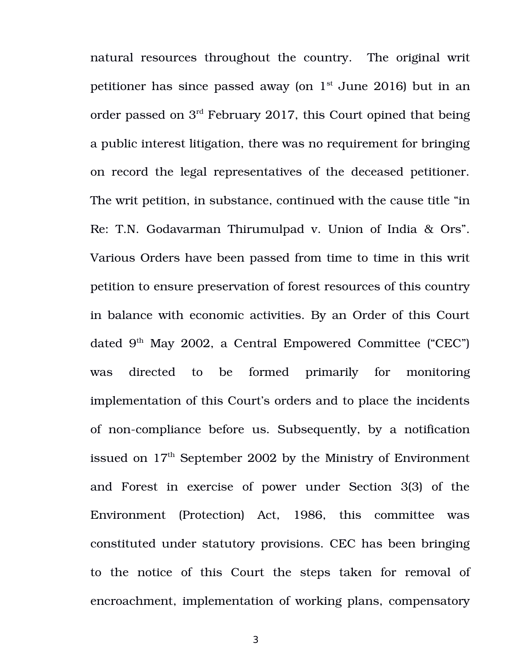natural resources throughout the country. The original writ petitioner has since passed away (on  $1<sup>st</sup>$  June 2016) but in an order passed on 3rd February 2017, this Court opined that being a public interest litigation, there was no requirement for bringing on record the legal representatives of the deceased petitioner. The writ petition, in substance, continued with the cause title "in Re: T.N. Godavarman Thirumulpad v. Union of India & Ors". Various Orders have been passed from time to time in this writ petition to ensure preservation of forest resources of this country in balance with economic activities. By an Order of this Court dated  $9<sup>th</sup>$  May 2002, a Central Empowered Committee ("CEC") was directed to be formed primarily for monitoring implementation of this Court's orders and to place the incidents of non-compliance before us. Subsequently, by a notification issued on  $17<sup>th</sup>$  September 2002 by the Ministry of Environment and Forest in exercise of power under Section 3(3) of the Environment (Protection) Act, 1986, this committee was constituted under statutory provisions. CEC has been bringing to the notice of this Court the steps taken for removal of encroachment, implementation of working plans, compensatory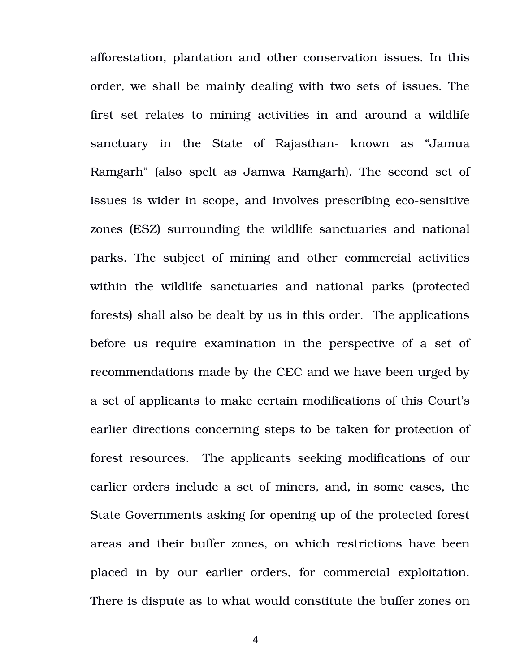afforestation, plantation and other conservation issues. In this order, we shall be mainly dealing with two sets of issues. The first set relates to mining activities in and around a wildlife sanctuary in the State of Rajasthan- known as "Jamua Ramgarh" (also spelt as Jamwa Ramgarh). The second set of issues is wider in scope, and involves prescribing eco-sensitive zones (ESZ) surrounding the wildlife sanctuaries and national parks. The subject of mining and other commercial activities within the wildlife sanctuaries and national parks (protected forests) shall also be dealt by us in this order. The applications before us require examination in the perspective of a set of recommendations made by the CEC and we have been urged by a set of applicants to make certain modifications of this Court's earlier directions concerning steps to be taken for protection of forest resources. The applicants seeking modifications of our earlier orders include a set of miners, and, in some cases, the State Governments asking for opening up of the protected forest areas and their buffer zones, on which restrictions have been placed in by our earlier orders, for commercial exploitation. There is dispute as to what would constitute the buffer zones on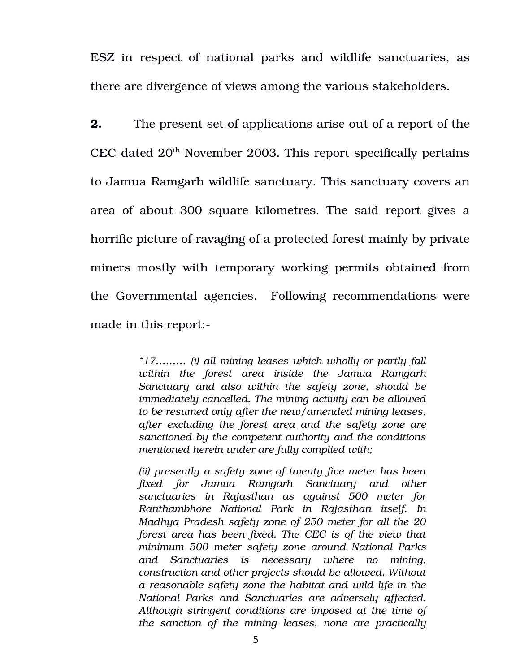ESZ in respect of national parks and wildlife sanctuaries, as there are divergence of views among the various stakeholders.

**2.** The present set of applications arise out of a report of the CEC dated  $20<sup>th</sup>$  November 2003. This report specifically pertains to Jamua Ramgarh wildlife sanctuary. This sanctuary covers an area of about 300 square kilometres. The said report gives a horrific picture of ravaging of a protected forest mainly by private miners mostly with temporary working permits obtained from the Governmental agencies. Following recommendations were made in this report:

> *"17……… (i) all mining leases which wholly or partly fall within the forest area inside the Jamua Ramgarh Sanctuary and also within the safety zone, should be immediately cancelled. The mining activity can be allowed to be resumed only after the new/amended mining leases, after excluding the forest area and the safety zone are sanctioned by the competent authority and the conditions mentioned herein under are fully complied with;*

> *(ii) presently a safety zone of twenty five meter has been fixed for Jamua Ramgarh Sanctuary and other sanctuaries in Rajasthan as against 500 meter for Ranthambhore National Park in Rajasthan itself. In Madhya Pradesh safety zone of 250 meter for all the 20 forest area has been fixed. The CEC is of the view that minimum 500 meter safety zone around National Parks and Sanctuaries is necessary where no mining, construction and other projects should be allowed. Without a reasonable safety zone the habitat and wild life in the National Parks and Sanctuaries are adversely affected. Although stringent conditions are imposed at the time of the sanction of the mining leases, none are practically*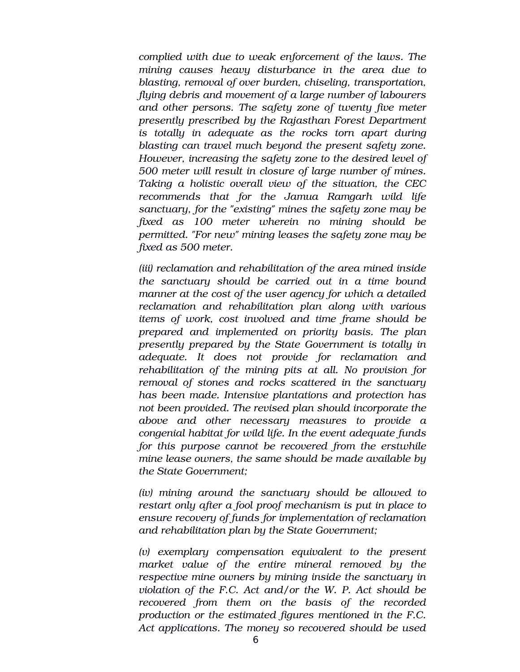*complied with due to weak enforcement of the laws. The mining causes heavy disturbance in the area due to blasting, removal of over burden, chiseling, transportation, flying debris and movement of a large number of labourers and other persons. The safety zone of twenty five meter presently prescribed by the Rajasthan Forest Department is totally in adequate as the rocks torn apart during blasting can travel much beyond the present safety zone. However, increasing the safety zone to the desired level of 500 meter will result in closure of large number of mines. Taking a holistic overall view of the situation, the CEC recommends that for the Jamua Ramgarh wild life sanctuary, for the "existing" mines the safety zone may be fixed as 100 meter wherein no mining should be permitted. "For new" mining leases the safety zone may be fixed as 500 meter.* 

*(iii) reclamation and rehabilitation of the area mined inside the sanctuary should be carried out in a time bound manner at the cost of the user agency for which a detailed reclamation and rehabilitation plan along with various items of work, cost involved and time frame should be prepared and implemented on priority basis. The plan presently prepared by the State Government is totally in adequate. It does not provide for reclamation and rehabilitation of the mining pits at all. No provision for removal of stones and rocks scattered in the sanctuary has been made. Intensive plantations and protection has not been provided. The revised plan should incorporate the above and other necessary measures to provide a congenial habitat for wild life. In the event adequate funds for this purpose cannot be recovered from the erstwhile mine lease owners, the same should be made available by the State Government;* 

*(iv) mining around the sanctuary should be allowed to restart only after a fool proof mechanism is put in place to ensure recovery of funds for implementation of reclamation and rehabilitation plan by the State Government;* 

*(v) exemplary compensation equivalent to the present* market value of the entire mineral removed by the *respective mine owners by mining inside the sanctuary in violation of the F.C. Act and/or the W. P. Act should be recovered from them on the basis of the recorded production or the estimated figures mentioned in the F.C. Act applications. The money so recovered should be used*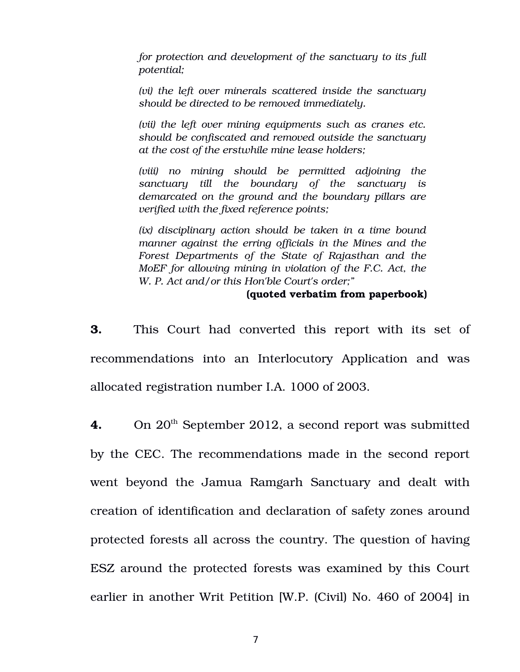*for protection and development of the sanctuary to its full potential;* 

*(vi) the left over minerals scattered inside the sanctuary should be directed to be removed immediately.* 

*(vii) the left over mining equipments such as cranes etc. should be confiscated and removed outside the sanctuary at the cost of the erstwhile mine lease holders;* 

*(viii) no mining should be permitted adjoining the sanctuary till the boundary of the sanctuary is demarcated on the ground and the boundary pillars are verified with the fixed reference points;* 

*(ix) disciplinary action should be taken in a time bound manner against the erring officials in the Mines and the Forest Departments of the State of Rajasthan and the MoEF for allowing mining in violation of the F.C. Act, the W. P. Act and/or this Hon'ble Court's order;"*

### **(quoted verbatim from paperbook)**

**3.** This Court had converted this report with its set of recommendations into an Interlocutory Application and was allocated registration number I.A. 1000 of 2003.

4. On 20<sup>th</sup> September 2012, a second report was submitted by the CEC. The recommendations made in the second report went beyond the Jamua Ramgarh Sanctuary and dealt with creation of identification and declaration of safety zones around protected forests all across the country. The question of having ESZ around the protected forests was examined by this Court earlier in another Writ Petition [W.P. (Civil) No. 460 of 2004] in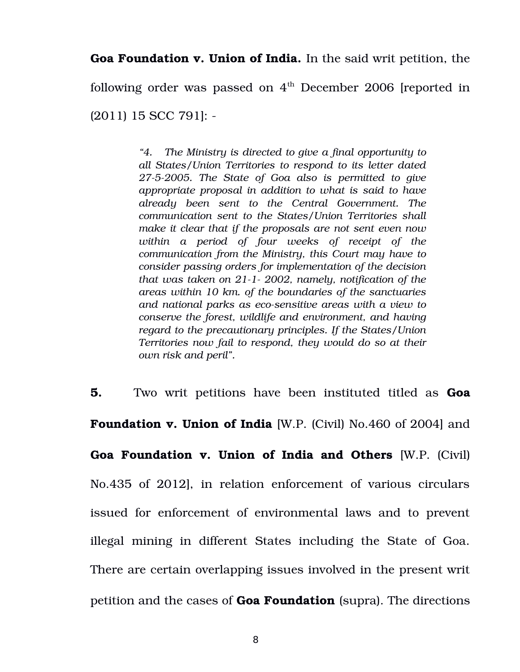**Goa Foundation v. Union of India.** In the said writ petition, the

following order was passed on  $4<sup>th</sup>$  December 2006 [reported in

(2011) 15 SCC 791]:

*"4. The Ministry is directed to give a final opportunity to all States/Union Territories to respond to its letter dated 2752005. The State of Goa also is permitted to give appropriate proposal in addition to what is said to have already been sent to the Central Government. The communication sent to the States/Union Territories shall make it clear that if the proposals are not sent even now within a period of four weeks of receipt of the communication from the Ministry, this Court may have to consider passing orders for implementation of the decision that was taken on 211 2002, namely, notification of the areas within 10 km. of the boundaries of the sanctuaries and national parks as ecosensitive areas with a view to conserve the forest, wildlife and environment, and having regard to the precautionary principles. If the States/Union Territories now fail to respond, they would do so at their own risk and peril".*

**5.** Two writ petitions have been instituted titled as **Goa Foundation v. Union of India** [W.P. (Civil) No.460 of 2004] and **Goa Foundation v. Union of India and Others** [W.P. (Civil) No.435 of 2012], in relation enforcement of various circulars issued for enforcement of environmental laws and to prevent illegal mining in different States including the State of Goa. There are certain overlapping issues involved in the present writ petition and the cases of **Goa Foundation** (supra). The directions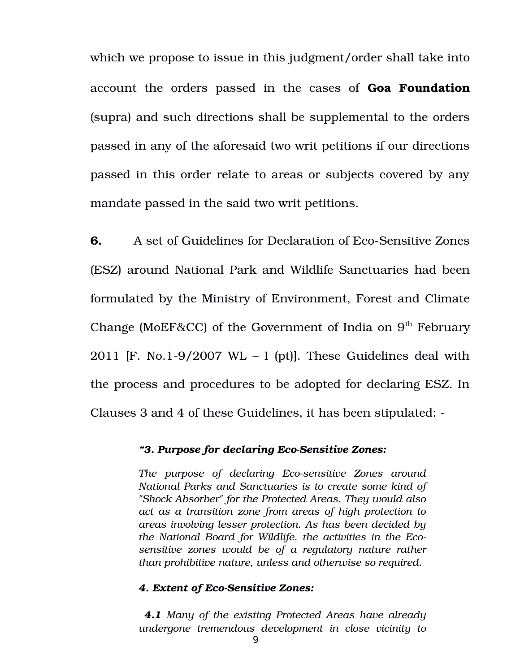which we propose to issue in this judgment/order shall take into account the orders passed in the cases of **Goa Foundation** (supra) and such directions shall be supplemental to the orders passed in any of the aforesaid two writ petitions if our directions passed in this order relate to areas or subjects covered by any mandate passed in the said two writ petitions.

**6.** A set of Guidelines for Declaration of Eco-Sensitive Zones (ESZ) around National Park and Wildlife Sanctuaries had been formulated by the Ministry of Environment, Forest and Climate Change (MoEF&CC) of the Government of India on  $9<sup>th</sup>$  February 2011 [F. No.1-9/2007 WL – I (pt)]. These Guidelines deal with the process and procedures to be adopted for declaring ESZ. In Clauses 3 and 4 of these Guidelines, it has been stipulated:

### "3. Purpose for declaring Eco-Sensitive Zones:

The purpose of declaring Eco-sensitive Zones around *National Parks and Sanctuaries is to create some kind of "Shock Absorber" for the Protected Areas. They would also act as a transition zone from areas of high protection to areas involving lesser protection. As has been decided by the National Board for Wildlife, the activities in the Ecosensitive zones would be of a regulatory nature rather than prohibitive nature, unless and otherwise so required.* 

#### **4. Extent of Eco-Sensitive Zones:**

 *4.1 Many of the existing Protected Areas have already undergone tremendous development in close vicinity to*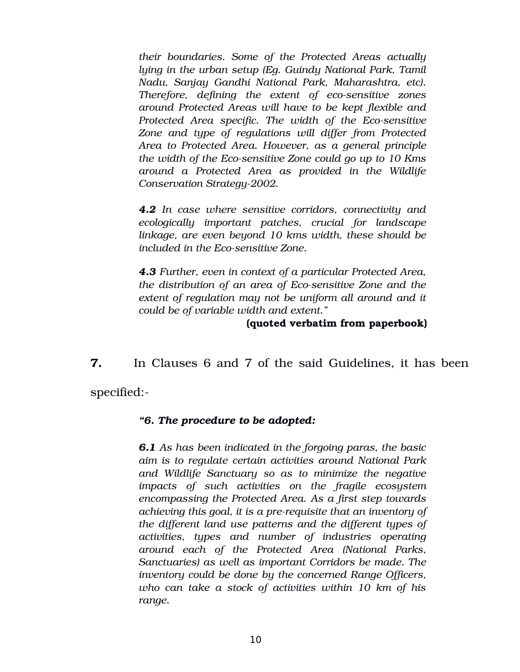*their boundaries. Some of the Protected Areas actually lying in the urban setup (Eg. Guindy National Park, Tamil Nadu, Sanjay Gandhi National Park, Maharashtra, etc). Therefore, defining the extent of eco-sensitive zones around Protected Areas will have to be kept flexible and Protected Area specific. The width of the Eco-sensitive Zone and type of regulations will differ from Protected Area to Protected Area. However, as a general principle the width of the Ecosensitive Zone could go up to 10 Kms around a Protected Area as provided in the Wildlife Conservation Strategy-2002.* 

*4.2 In case where sensitive corridors, connectivity and ecologically important patches, crucial for landscape linkage, are even beyond 10 kms width, these should be included in the Eco-sensitive Zone.* 

*4.3 Further, even in context of a particular Protected Area, the distribution of an area of Ecosensitive Zone and the extent of regulation may not be uniform all around and it could be of variable width and extent."*

### **(quoted verbatim from paperbook)**

**7.** In Clauses 6 and 7 of the said Guidelines, it has been specified:

## *"6. The procedure to be adopted:*

*6.1 As has been indicated in the forgoing paras, the basic aim is to regulate certain activities around National Park and Wildlife Sanctuary so as to minimize the negative impacts of such activities on the fragile ecosystem encompassing the Protected Area. As a first step towards achieving this goal, it is a prerequisite that an inventory of the different land use patterns and the different types of activities, types and number of industries operating around each of the Protected Area (National Parks, Sanctuaries) as well as important Corridors be made. The inventory could be done by the concerned Range Officers, who can take a stock of activities within 10 km of his range.*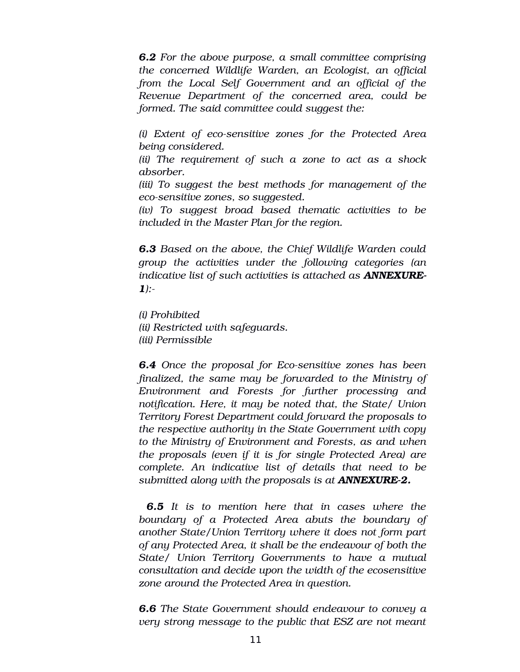*6.2 For the above purpose, a small committee comprising the concerned Wildlife Warden, an Ecologist, an official from the Local Self Government and an official of the Revenue Department of the concerned area, could be formed. The said committee could suggest the:* 

*(i) Extent of ecosensitive zones for the Protected Area being considered.*

*(ii) The requirement of such a zone to act as a shock absorber.* 

*(iii) To suggest the best methods for management of the ecosensitive zones, so suggested.*

*(iv) To suggest broad based thematic activities to be included in the Master Plan for the region.*

*6.3 Based on the above, the Chief Wildlife Warden could group the activities under the following categories (an indicative list of such activities is attached as ANNEXURE-1):*

*(i) Prohibited (ii) Restricted with safeguards. (iii) Permissible* 

**6.4** Once the proposal for Eco-sensitive zones has been *finalized, the same may be forwarded to the Ministry of Environment and Forests for further processing and notification. Here, it may be noted that, the State/ Union Territory Forest Department could forward the proposals to the respective authority in the State Government with copy to the Ministry of Environment and Forests, as and when the proposals (even if it is for single Protected Area) are complete. An indicative list of details that need to be submitted along with the proposals is at ANNEXURE2.*

*6.5 It is to mention here that in cases where the boundary of a Protected Area abuts the boundary of another State/Union Territory where it does not form part of any Protected Area, it shall be the endeavour of both the State/ Union Territory Governments to have a mutual consultation and decide upon the width of the ecosensitive zone around the Protected Area in question.* 

*6.6 The State Government should endeavour to convey a very strong message to the public that ESZ are not meant*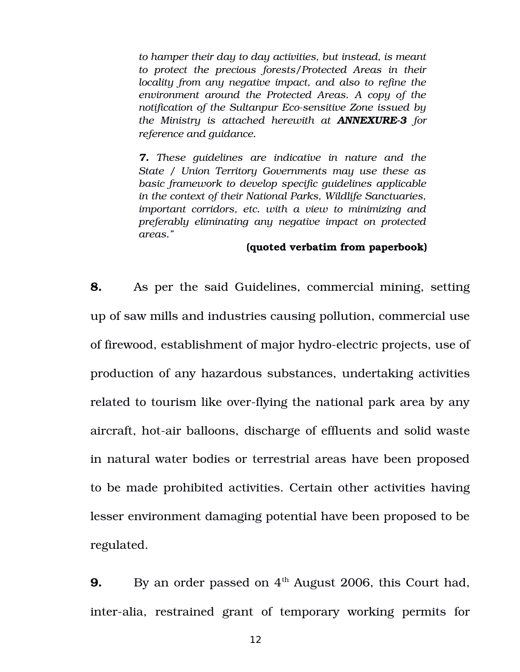*to hamper their day to day activities, but instead, is meant to protect the precious forests/Protected Areas in their locality from any negative impact, and also to refine the environment around the Protected Areas. A copy of the notification of the Sultanpur Eco-sensitive Zone issued by the Ministry is attached herewith at ANNEXURE3 for reference and guidance.*

*7. These guidelines are indicative in nature and the State / Union Territory Governments may use these as basic framework to develop specific guidelines applicable in the context of their National Parks, Wildlife Sanctuaries, important corridors, etc. with a view to minimizing and preferably eliminating any negative impact on protected areas."*

### **(quoted verbatim from paperbook)**

**8.** As per the said Guidelines, commercial mining, setting up of saw mills and industries causing pollution, commercial use of firewood, establishment of major hydro-electric projects, use of production of any hazardous substances, undertaking activities related to tourism like over-flying the national park area by any aircraft, hot-air balloons, discharge of effluents and solid waste in natural water bodies or terrestrial areas have been proposed to be made prohibited activities. Certain other activities having lesser environment damaging potential have been proposed to be regulated.

**9.** By an order passed on 4<sup>th</sup> August 2006, this Court had, inter-alia, restrained grant of temporary working permits for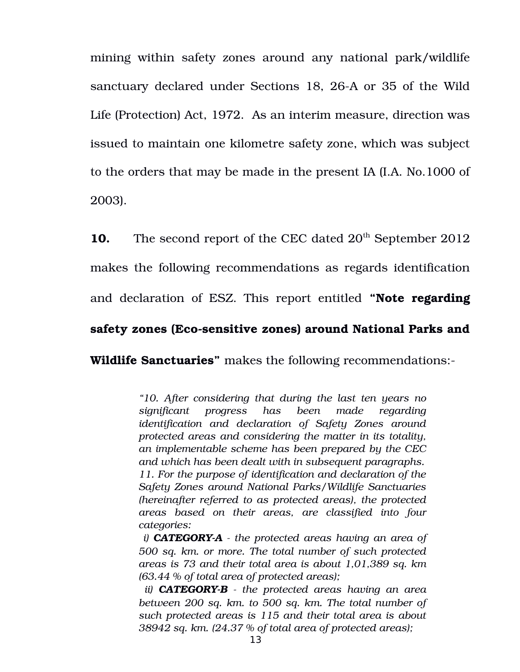mining within safety zones around any national park/wildlife sanctuary declared under Sections 18, 26-A or 35 of the Wild Life (Protection) Act, 1972. As an interim measure, direction was issued to maintain one kilometre safety zone, which was subject to the orders that may be made in the present IA (I.A. No.1000 of 2003).

**10.** The second report of the CEC dated 20<sup>th</sup> September 2012 makes the following recommendations as regards identification and declaration of ESZ. This report entitled **"Note regarding** safety zones (Eco-sensitive zones) around National Parks and

**Wildlife Sanctuaries"** makes the following recommendations:

*"10. After considering that during the last ten years no significant progress has been made regarding identification and declaration of Safety Zones around protected areas and considering the matter in its totality, an implementable scheme has been prepared by the CEC and which has been dealt with in subsequent paragraphs. 11. For the purpose of identification and declaration of the Safety Zones around National Parks/Wildlife Sanctuaries (hereinafter referred to as protected areas), the protected areas based on their areas, are classified into four categories:* 

 *i) CATEGORYA the protected areas having an area of 500 sq. km. or more. The total number of such protected areas is 73 and their total area is about 1,01,389 sq. km (63.44 % of total area of protected areas);* 

 *ii) CATEGORYB the protected areas having an area between 200 sq. km. to 500 sq. km. The total number of such protected areas is 115 and their total area is about 38942 sq. km. (24.37 % of total area of protected areas);*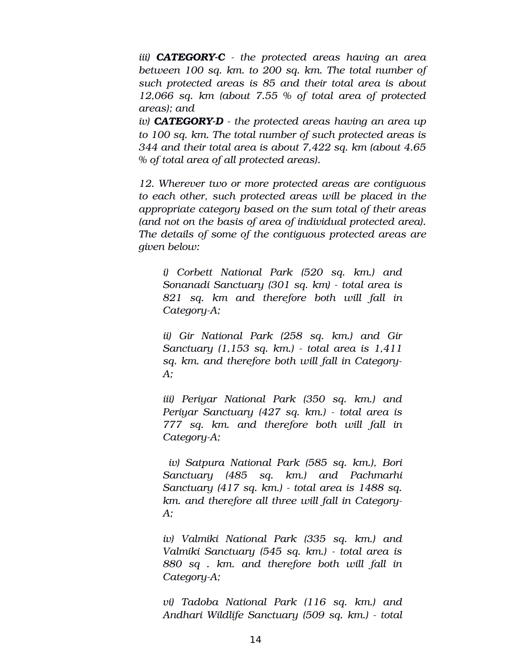*iii) CATEGORYC the protected areas having an area between 100 sq. km. to 200 sq. km. The total number of such protected areas is 85 and their total area is about 12,066 sq. km (about 7.55 % of total area of protected areas); and* 

*iv) CATEGORYD the protected areas having an area up to 100 sq. km. The total number of such protected areas is 344 and their total area is about 7,422 sq. km (about 4.65 % of total area of all protected areas).*

*12. Wherever two or more protected areas are contiguous to each other, such protected areas will be placed in the appropriate category based on the sum total of their areas (and not on the basis of area of individual protected area). The details of some of the contiguous protected areas are given below:* 

*i) Corbett National Park (520 sq. km.) and Sonanadi Sanctuary (301 sq. km) total area is 821 sq. km and therefore both will fall in CategoryA;* 

*ii) Gir National Park (258 sq. km.) and Gir Sanctuary (1,153 sq. km.) total area is 1,411 sq. km. and therefore both will fall in Category-A;* 

*iii) Periyar National Park (350 sq. km.) and Periyar Sanctuary (427 sq. km.) total area is 777 sq. km. and therefore both will fall in CategoryA;*

 *iv) Satpura National Park (585 sq. km.), Bori Sanctuary (485 sq. km.) and Pachmarhi Sanctuary (417 sq. km.) total area is 1488 sq. km. and therefore all three will fall in Category-A;* 

*iv) Valmiki National Park (335 sq. km.) and Valmiki Sanctuary (545 sq. km.) total area is 880 sq . km. and therefore both will fall in CategoryA;*

*vi) Tadoba National Park (116 sq. km.) and Andhari Wildlife Sanctuary (509 sq. km.) total*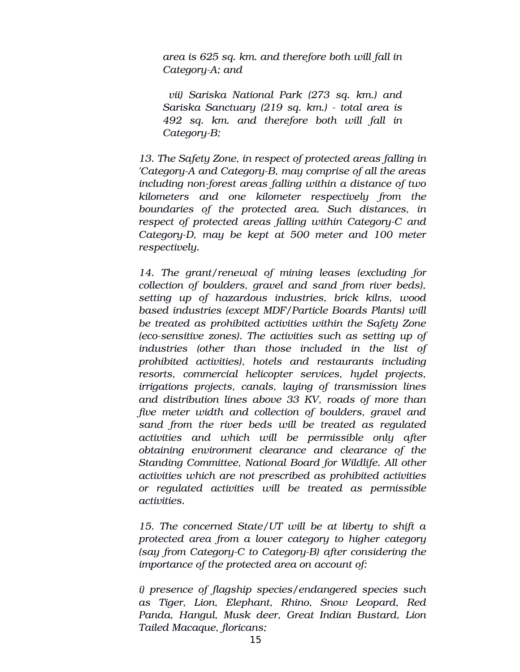*area is 625 sq. km. and therefore both will fall in* Category-A; and

 *vii) Sariska National Park (273 sq. km.) and Sariska Sanctuary (219 sq. km.) total area is 492 sq. km. and therefore both will fall in* Category-B;

*13. The Safety Zone, in respect of protected areas falling in 'Category-A and Category-B, may comprise of all the areas* including non-forest areas falling within a distance of two *kilometers and one kilometer respectively from the boundaries of the protected area. Such distances, in respect of protected areas falling within CategoryC and CategoryD, may be kept at 500 meter and 100 meter respectively.* 

*14. The grant/renewal of mining leases (excluding for collection of boulders, gravel and sand from river beds), setting up of hazardous industries, brick kilns, wood based industries (except MDF/Particle Boards Plants) will be treated as prohibited activities within the Safety Zone (eco-sensitive zones). The activities such as setting up of industries (other than those included in the list of prohibited activities), hotels and restaurants including resorts, commercial helicopter services, hydel projects, irrigations projects, canals, laying of transmission lines and distribution lines above 33 KV, roads of more than five meter width and collection of boulders, gravel and sand from the river beds will be treated as regulated activities and which will be permissible only after obtaining environment clearance and clearance of the Standing Committee, National Board for Wildlife. All other activities which are not prescribed as prohibited activities or regulated activities will be treated as permissible activities.* 

*15. The concerned State/UT will be at liberty to shift a protected area from a lower category to higher category (say from Category-C to Category-B) after considering the importance of the protected area on account of:* 

*i) presence of flagship species/endangered species such as Tiger, Lion, Elephant, Rhino, Snow Leopard, Red Panda, Hangul, Musk deer, Great Indian Bustard, Lion Tailed Macaque, floricans;*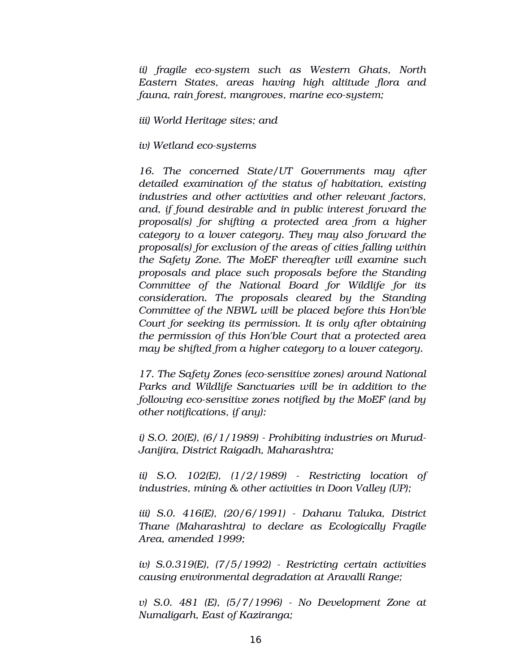*ii) fragile ecosystem such as Western Ghats, North Eastern States, areas having high altitude flora and fauna, rain forest, mangroves, marine ecosystem;* 

*iii) World Heritage sites; and* 

*iv)* Wetland eco-systems

*16. The concerned State/UT Governments may after detailed examination of the status of habitation, existing industries and other activities and other relevant factors, and, if found desirable and in public interest forward the proposal(s) for shifting a protected area from a higher category to a lower category. They may also forward the proposal(s) for exclusion of the areas of cities falling within the Safety Zone. The MoEF thereafter will examine such proposals and place such proposals before the Standing Committee of the National Board for Wildlife for its consideration. The proposals cleared by the Standing Committee of the NBWL will be placed before this Hon'ble Court for seeking its permission. It is only after obtaining the permission of this Hon'ble Court that a protected area may be shifted from a higher category to a lower category.* 

*17. The Safety Zones (eco-sensitive zones) around National Parks and Wildlife Sanctuaries will be in addition to the following eco-sensitive zones notified by the MoEF (and by other notifications, if any):*

*i) S.O. 20(E), (6/1/1989) Prohibiting industries on Murud-Janijira, District Raigadh, Maharashtra;*

*ii) S.O. 102(E), (1/2/1989) Restricting location of industries, mining & other activities in Doon Valley (UP);* 

*iii) S.0. 416(E), (20/6/1991) Dahanu Taluka, District Thane (Maharashtra) to declare as Ecologically Fragile Area, amended 1999;* 

*iv) S.0.319(E), (7/5/1992) Restricting certain activities causing environmental degradation at Aravalli Range;* 

*v) S.0. 481 (E), (5/7/1996) No Development Zone at Numaligarh, East of Kaziranga;*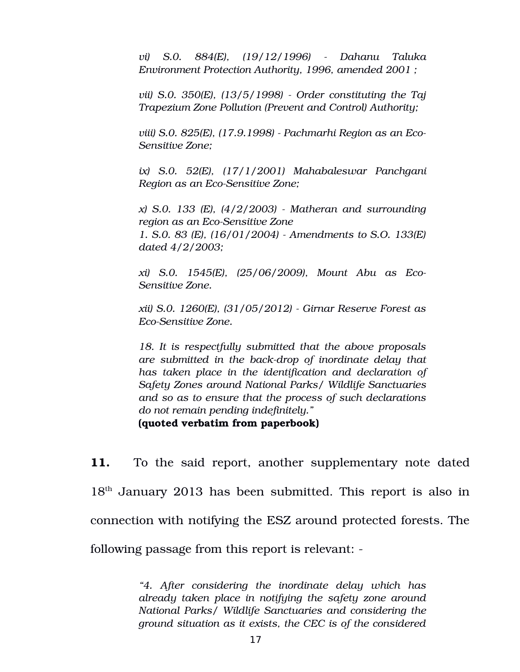*vi) S.0. 884(E), (19/12/1996) Dahanu Taluka Environment Protection Authority, 1996, amended 2001 ;* 

*vii) S.0. 350(E), (13/5/1998) Order constituting the Taj Trapezium Zone Pollution (Prevent and Control) Authority;* 

*viii) S.0. 825(E), (17.9.1998) Pachmarhi Region as an Eco-Sensitive Zone;* 

*ix) S.0. 52(E), (17/1/2001) Mahabaleswar Panchgani Region as an Eco-Sensitive Zone;* 

*x) S.0. 133 (E), (4/2/2003) Matheran and surrounding region as an Eco-Sensitive Zone 1. S.0. 83 (E), (16/01/2004) Amendments to S.O. 133(E) dated 4/2/2003;* 

*xi) S.0. 1545(E), (25/06/2009), Mount Abu as Eco-Sensitive Zone.*

*xii) S.0. 1260(E), (31/05/2012) Girnar Reserve Forest as*  $E$ co-Sensitive Zone.

*18. It is respectfully submitted that the above proposals are submitted in the backdrop of inordinate delay that has taken place in the identification and declaration of Safety Zones around National Parks/ Wildlife Sanctuaries and so as to ensure that the process of such declarations do not remain pending indefinitely."*

**(quoted verbatim from paperbook)**

**11.** To the said report, another supplementary note dated  $18<sup>th</sup>$  January 2013 has been submitted. This report is also in connection with notifying the ESZ around protected forests. The following passage from this report is relevant:

> *"4. After considering the inordinate delay which has already taken place in notifying the safety zone around National Parks/ Wildlife Sanctuaries and considering the ground situation as it exists, the CEC is of the considered*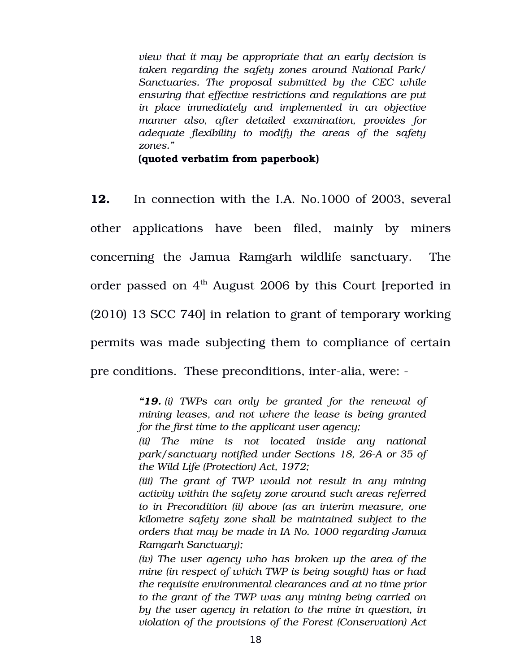*view that it may be appropriate that an early decision is taken regarding the safety zones around National Park/ Sanctuaries. The proposal submitted by the CEC while ensuring that effective restrictions and regulations are put in place immediately and implemented in an objective manner also, after detailed examination, provides for adequate flexibility to modify the areas of the safety zones."*

**(quoted verbatim from paperbook)**

**12.** In connection with the I.A. No.1000 of 2003, several other applications have been filed, mainly by miners concerning the Jamua Ramgarh wildlife sanctuary. The order passed on  $4<sup>th</sup>$  August 2006 by this Court [reported in (2010) 13 SCC 740] in relation to grant of temporary working permits was made subjecting them to compliance of certain pre conditions. These preconditions, inter-alia, were: -

> *"19. (i) TWPs can only be granted for the renewal of mining leases, and not where the lease is being granted for the first time to the applicant user agency;*

> *(ii) The mine is not located inside any national park/sanctuary notified under Sections 18, 26A or 35 of the Wild Life (Protection) Act, 1972;*

> *(iii) The grant of TWP would not result in any mining activity within the safety zone around such areas referred to in Precondition (ii) above (as an interim measure, one kilometre safety zone shall be maintained subject to the orders that may be made in IA No. 1000 regarding Jamua Ramgarh Sanctuary);*

> *(iv) The user agency who has broken up the area of the mine (in respect of which TWP is being sought) has or had the requisite environmental clearances and at no time prior to the grant of the TWP was any mining being carried on by the user agency in relation to the mine in question, in violation of the provisions of the Forest (Conservation) Act*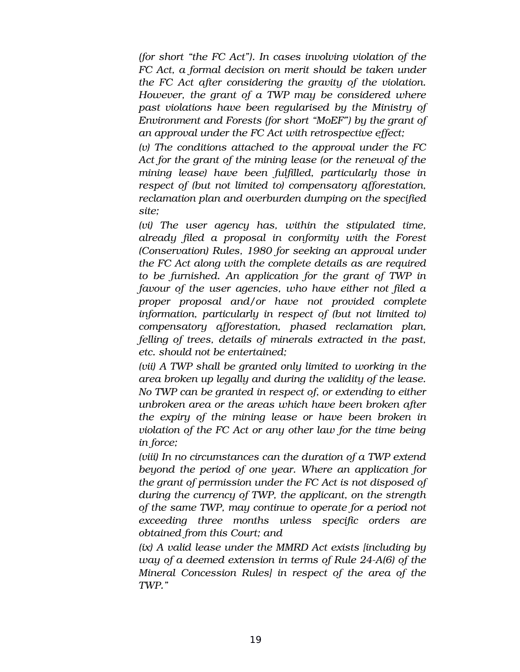*(for short "the FC Act"). In cases involving violation of the FC Act, a formal decision on merit should be taken under the FC Act after considering the gravity of the violation. However, the grant of a TWP may be considered where past violations have been regularised by the Ministry of Environment and Forests (for short "MoEF") by the grant of an approval under the FC Act with retrospective effect;*

*(v) The conditions attached to the approval under the FC Act for the grant of the mining lease (or the renewal of the mining lease) have been fulfilled, particularly those in respect of (but not limited to) compensatory afforestation, reclamation plan and overburden dumping on the specified site;*

*(vi) The user agency has, within the stipulated time, already filed a proposal in conformity with the Forest (Conservation) Rules, 1980 for seeking an approval under the FC Act along with the complete details as are required to be furnished. An application for the grant of TWP in favour of the user agencies, who have either not filed a proper proposal and/or have not provided complete information, particularly in respect of (but not limited to) compensatory afforestation, phased reclamation plan, felling of trees, details of minerals extracted in the past, etc. should not be entertained;*

*(vii) A TWP shall be granted only limited to working in the area broken up legally and during the validity of the lease. No TWP can be granted in respect of, or extending to either unbroken area or the areas which have been broken after the expiry of the mining lease or have been broken in violation of the FC Act or any other law for the time being in force;*

*(viii) In no circumstances can the duration of a TWP extend beyond the period of one year. Where an application for the grant of permission under the FC Act is not disposed of during the currency of TWP, the applicant, on the strength of the same TWP, may continue to operate for a period not exceeding three months unless specific orders are obtained from this Court; and*

*(ix) A valid lease under the MMRD Act exists [including by way of a deemed extension in terms of Rule 24A(6) of the Mineral Concession Rules] in respect of the area of the TWP."*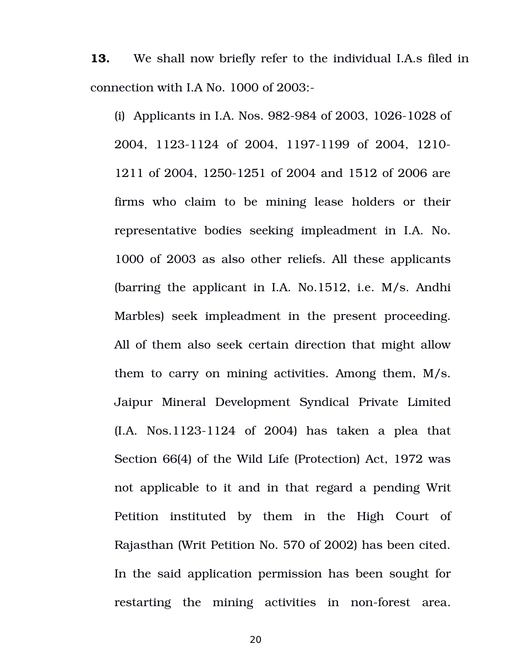**13.** We shall now briefly refer to the individual I.A.s filed in connection with I.A No. 1000 of 2003:

(i) Applicants in I.A. Nos.  $982-984$  of 2003, 1026-1028 of 2004, 1123-1124 of 2004, 1197-1199 of 2004, 1210-1211 of 2004, 1250-1251 of 2004 and 1512 of 2006 are firms who claim to be mining lease holders or their representative bodies seeking impleadment in I.A. No. 1000 of 2003 as also other reliefs. All these applicants (barring the applicant in I.A. No.1512, i.e. M/s. Andhi Marbles) seek impleadment in the present proceeding. All of them also seek certain direction that might allow them to carry on mining activities. Among them, M/s. Jaipur Mineral Development Syndical Private Limited  $(I.A. No.1123-1124 of 2004)$  has taken a plea that Section 66(4) of the Wild Life (Protection) Act, 1972 was not applicable to it and in that regard a pending Writ Petition instituted by them in the High Court of Rajasthan (Writ Petition No. 570 of 2002) has been cited. In the said application permission has been sought for restarting the mining activities in non-forest area.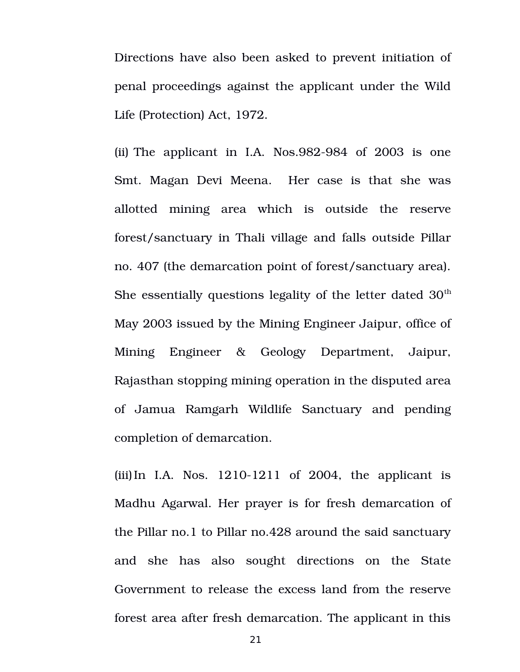Directions have also been asked to prevent initiation of penal proceedings against the applicant under the Wild Life (Protection) Act, 1972.

(ii) The applicant in I.A.  $Nos.982-984$  of  $2003$  is one Smt. Magan Devi Meena. Her case is that she was allotted mining area which is outside the reserve forest/sanctuary in Thali village and falls outside Pillar no. 407 (the demarcation point of forest/sanctuary area). She essentially questions legality of the letter dated  $30<sup>th</sup>$ May 2003 issued by the Mining Engineer Jaipur, office of Mining Engineer & Geology Department, Jaipur, Rajasthan stopping mining operation in the disputed area of Jamua Ramgarh Wildlife Sanctuary and pending completion of demarcation.

(iii)In I.A. Nos.  $1210-1211$  of  $2004$ , the applicant is Madhu Agarwal. Her prayer is for fresh demarcation of the Pillar no.1 to Pillar no.428 around the said sanctuary and she has also sought directions on the State Government to release the excess land from the reserve forest area after fresh demarcation. The applicant in this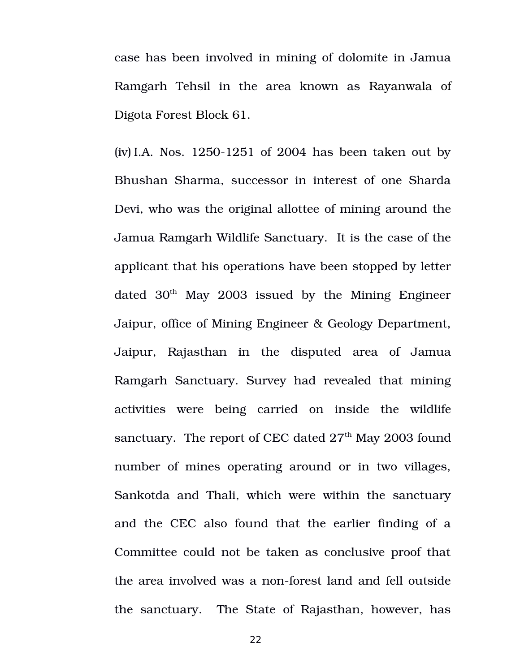case has been involved in mining of dolomite in Jamua Ramgarh Tehsil in the area known as Rayanwala of Digota Forest Block 61.

(iv) I.A. Nos.  $1250-1251$  of 2004 has been taken out by Bhushan Sharma, successor in interest of one Sharda Devi, who was the original allottee of mining around the Jamua Ramgarh Wildlife Sanctuary. It is the case of the applicant that his operations have been stopped by letter dated  $30<sup>th</sup>$  May 2003 issued by the Mining Engineer Jaipur, office of Mining Engineer & Geology Department, Jaipur, Rajasthan in the disputed area of Jamua Ramgarh Sanctuary. Survey had revealed that mining activities were being carried on inside the wildlife sanctuary. The report of CEC dated  $27<sup>th</sup>$  May 2003 found number of mines operating around or in two villages, Sankotda and Thali, which were within the sanctuary and the CEC also found that the earlier finding of a Committee could not be taken as conclusive proof that the area involved was a non-forest land and fell outside the sanctuary. The State of Rajasthan, however, has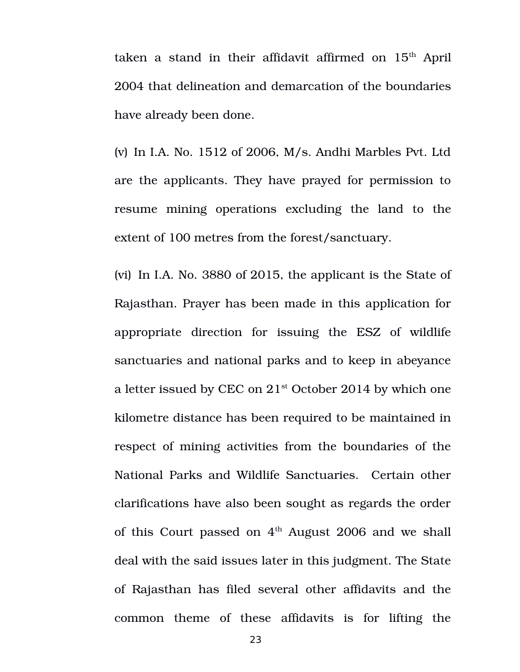taken a stand in their affidavit affirmed on  $15<sup>th</sup>$  April 2004 that delineation and demarcation of the boundaries have already been done.

(v) In I.A. No. 1512 of 2006, M/s. Andhi Marbles Pvt. Ltd are the applicants. They have prayed for permission to resume mining operations excluding the land to the extent of 100 metres from the forest/sanctuary.

(vi) In I.A. No. 3880 of 2015, the applicant is the State of Rajasthan. Prayer has been made in this application for appropriate direction for issuing the ESZ of wildlife sanctuaries and national parks and to keep in abeyance a letter issued by CEC on  $21<sup>st</sup>$  October 2014 by which one kilometre distance has been required to be maintained in respect of mining activities from the boundaries of the National Parks and Wildlife Sanctuaries. Certain other clarifications have also been sought as regards the order of this Court passed on  $4<sup>th</sup>$  August 2006 and we shall deal with the said issues later in this judgment. The State of Rajasthan has filed several other affidavits and the common theme of these affidavits is for lifting the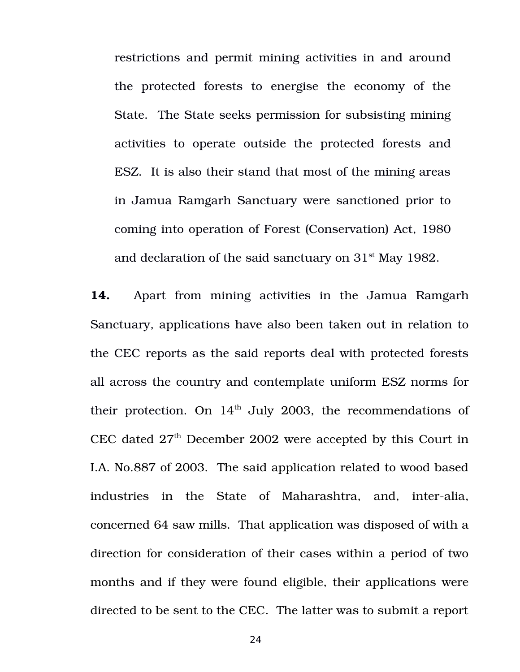restrictions and permit mining activities in and around the protected forests to energise the economy of the State. The State seeks permission for subsisting mining activities to operate outside the protected forests and ESZ. It is also their stand that most of the mining areas in Jamua Ramgarh Sanctuary were sanctioned prior to coming into operation of Forest (Conservation) Act, 1980 and declaration of the said sanctuary on  $31<sup>st</sup>$  May 1982.

14. Apart from mining activities in the Jamua Ramgarh Sanctuary, applications have also been taken out in relation to the CEC reports as the said reports deal with protected forests all across the country and contemplate uniform ESZ norms for their protection. On  $14<sup>th</sup>$  July 2003, the recommendations of CEC dated  $27<sup>th</sup>$  December 2002 were accepted by this Court in I.A. No.887 of 2003. The said application related to wood based industries in the State of Maharashtra, and, inter-alia, concerned 64 saw mills. That application was disposed of with a direction for consideration of their cases within a period of two months and if they were found eligible, their applications were directed to be sent to the CEC. The latter was to submit a report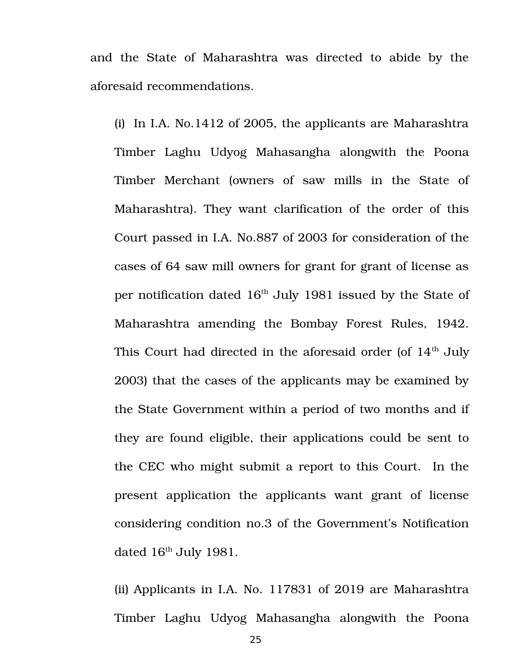and the State of Maharashtra was directed to abide by the aforesaid recommendations.

(i) In I.A. No.1412 of 2005, the applicants are Maharashtra Timber Laghu Udyog Mahasangha alongwith the Poona Timber Merchant (owners of saw mills in the State of Maharashtra). They want clarification of the order of this Court passed in I.A. No.887 of 2003 for consideration of the cases of 64 saw mill owners for grant for grant of license as per notification dated  $16<sup>th</sup>$  July 1981 issued by the State of Maharashtra amending the Bombay Forest Rules, 1942. This Court had directed in the aforesaid order (of  $14<sup>th</sup>$  July 2003) that the cases of the applicants may be examined by the State Government within a period of two months and if they are found eligible, their applications could be sent to the CEC who might submit a report to this Court. In the present application the applicants want grant of license considering condition no.3 of the Government's Notification dated 16<sup>th</sup> July 1981.

(ii) Applicants in I.A. No. 117831 of 2019 are Maharashtra Timber Laghu Udyog Mahasangha alongwith the Poona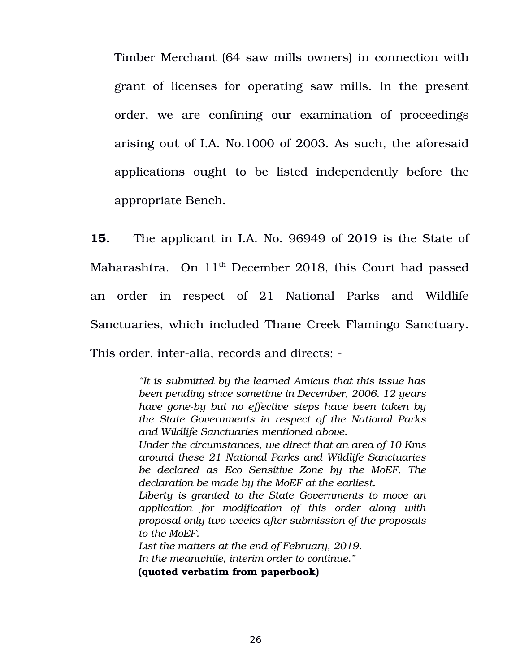Timber Merchant (64 saw mills owners) in connection with grant of licenses for operating saw mills. In the present order, we are confining our examination of proceedings arising out of I.A. No.1000 of 2003. As such, the aforesaid applications ought to be listed independently before the appropriate Bench.

**15.** The applicant in I.A. No. 96949 of 2019 is the State of Maharashtra. On  $11<sup>th</sup>$  December 2018, this Court had passed an order in respect of 21 National Parks and Wildlife Sanctuaries, which included Thane Creek Flamingo Sanctuary. This order, inter-alia, records and directs: -

> *"It is submitted by the learned Amicus that this issue has been pending since sometime in December, 2006. 12 years have gone-by but no effective steps have been taken by the State Governments in respect of the National Parks and Wildlife Sanctuaries mentioned above. Under the circumstances, we direct that an area of 10 Kms around these 21 National Parks and Wildlife Sanctuaries be declared as Eco Sensitive Zone by the MoEF. The declaration be made by the MoEF at the earliest. Liberty is granted to the State Governments to move an application for modification of this order along with proposal only two weeks after submission of the proposals to the MoEF. List the matters at the end of February, 2019. In the meanwhile, interim order to continue."*

**(quoted verbatim from paperbook)**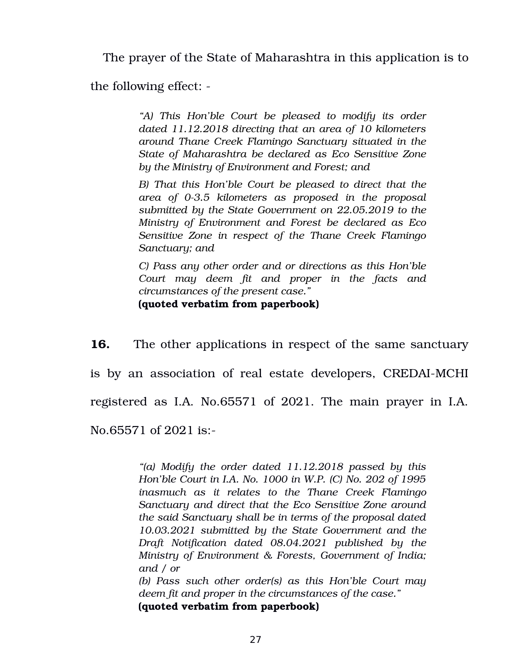The prayer of the State of Maharashtra in this application is to

the following effect:

*"A) This Hon'ble Court be pleased to modify its order dated 11.12.2018 directing that an area of 10 kilometers around Thane Creek Flamingo Sanctuary situated in the State of Maharashtra be declared as Eco Sensitive Zone by the Ministry of Environment and Forest; and*

*B) That this Hon'ble Court be pleased to direct that the area of 03.5 kilometers as proposed in the proposal submitted by the State Government on 22.05.2019 to the Ministry of Environment and Forest be declared as Eco Sensitive Zone in respect of the Thane Creek Flamingo Sanctuary; and*

*C) Pass any other order and or directions as this Hon'ble Court may deem fit and proper in the facts and circumstances of the present case."* **(quoted verbatim from paperbook)**

**16.** The other applications in respect of the same sanctuary

is by an association of real estate developers, CREDAI-MCHI

registered as I.A. No.65571 of 2021. The main prayer in I.A.

No.65571 of 2021 is:

*"(a) Modify the order dated 11.12.2018 passed by this Hon'ble Court in I.A. No. 1000 in W.P. (C) No. 202 of 1995 inasmuch as it relates to the Thane Creek Flamingo Sanctuary and direct that the Eco Sensitive Zone around the said Sanctuary shall be in terms of the proposal dated 10.03.2021 submitted by the State Government and the Draft Notification dated 08.04.2021 published by the Ministry of Environment & Forests, Government of India; and / or* 

*(b) Pass such other order(s) as this Hon'ble Court may deem fit and proper in the circumstances of the case."*

**(quoted verbatim from paperbook)**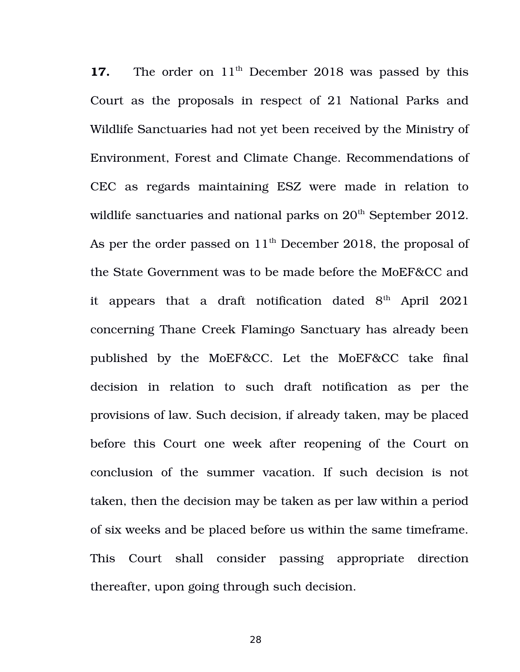**17.** The order on 11<sup>th</sup> December 2018 was passed by this Court as the proposals in respect of 21 National Parks and Wildlife Sanctuaries had not yet been received by the Ministry of Environment, Forest and Climate Change. Recommendations of CEC as regards maintaining ESZ were made in relation to wildlife sanctuaries and national parks on  $20<sup>th</sup>$  September 2012. As per the order passed on  $11<sup>th</sup>$  December 2018, the proposal of the State Government was to be made before the MoEF&CC and it appears that a draft notification dated  $8<sup>th</sup>$  April 2021 concerning Thane Creek Flamingo Sanctuary has already been published by the MoEF&CC. Let the MoEF&CC take final decision in relation to such draft notification as per the provisions of law. Such decision, if already taken, may be placed before this Court one week after reopening of the Court on conclusion of the summer vacation. If such decision is not taken, then the decision may be taken as per law within a period of six weeks and be placed before us within the same timeframe. This Court shall consider passing appropriate direction thereafter, upon going through such decision.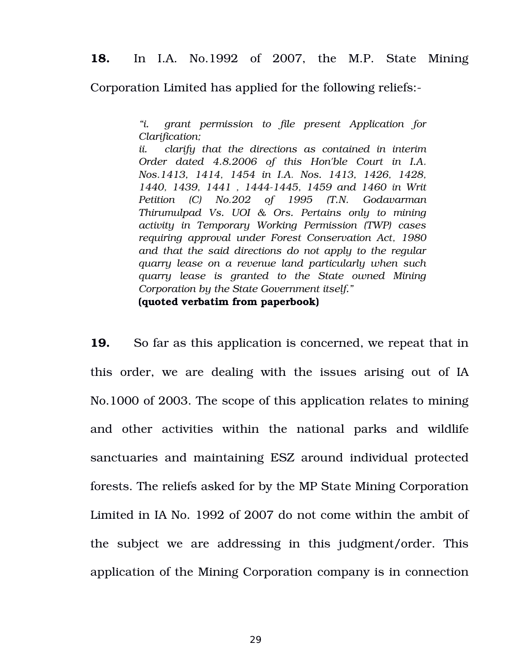**18.** In I.A. No.1992 of 2007, the M.P. State Mining

Corporation Limited has applied for the following reliefs:

*"i. grant permission to file present Application for Clarification;*

*ii. clarify that the directions as contained in interim Order dated 4.8.2006 of this Hon'ble Court in I.A. Nos.1413, 1414, 1454 in I.A. Nos. 1413, 1426, 1428, 1440, 1439, 1441 , 14441445, 1459 and 1460 in Writ Petition (C) No.202 of 1995 (T.N. Godavarman Thirumulpad Vs. UOI & Ors. Pertains only to mining activity in Temporary Working Permission (TWP) cases requiring approval under Forest Conservation Act, 1980 and that the said directions do not apply to the regular quarry lease on a revenue land particularly when such quarry lease is granted to the State owned Mining Corporation by the State Government itself."*

**(quoted verbatim from paperbook)**

**19.** So far as this application is concerned, we repeat that in this order, we are dealing with the issues arising out of IA No.1000 of 2003. The scope of this application relates to mining and other activities within the national parks and wildlife sanctuaries and maintaining ESZ around individual protected forests. The reliefs asked for by the MP State Mining Corporation Limited in IA No. 1992 of 2007 do not come within the ambit of the subject we are addressing in this judgment/order. This application of the Mining Corporation company is in connection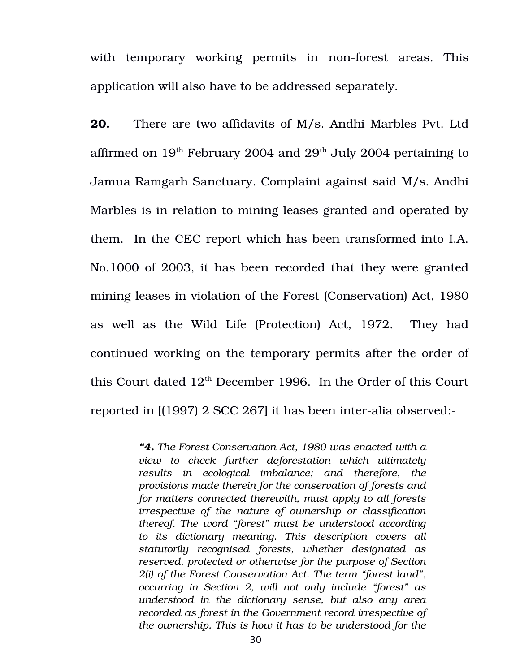with temporary working permits in non-forest areas. This application will also have to be addressed separately.

**20.** There are two affidavits of M/s. Andhi Marbles Pvt. Ltd affirmed on  $19<sup>th</sup>$  February 2004 and  $29<sup>th</sup>$  July 2004 pertaining to Jamua Ramgarh Sanctuary. Complaint against said M/s. Andhi Marbles is in relation to mining leases granted and operated by them. In the CEC report which has been transformed into I.A. No.1000 of 2003, it has been recorded that they were granted mining leases in violation of the Forest (Conservation) Act, 1980 as well as the Wild Life (Protection) Act, 1972. They had continued working on the temporary permits after the order of this Court dated  $12<sup>th</sup>$  December 1996. In the Order of this Court reported in [(1997) 2 SCC 267] it has been inter-alia observed:-

> *"4. The Forest Conservation Act, 1980 was enacted with a view to check further deforestation which ultimately results in ecological imbalance; and therefore, the provisions made therein for the conservation of forests and for matters connected therewith, must apply to all forests irrespective of the nature of ownership or classification thereof. The word "forest" must be understood according to its dictionary meaning. This description covers all statutorily recognised forests, whether designated as reserved, protected or otherwise for the purpose of Section 2(i) of the Forest Conservation Act. The term "forest land", occurring in Section 2, will not only include "forest" as understood in the dictionary sense, but also any area recorded as forest in the Government record irrespective of the ownership. This is how it has to be understood for the*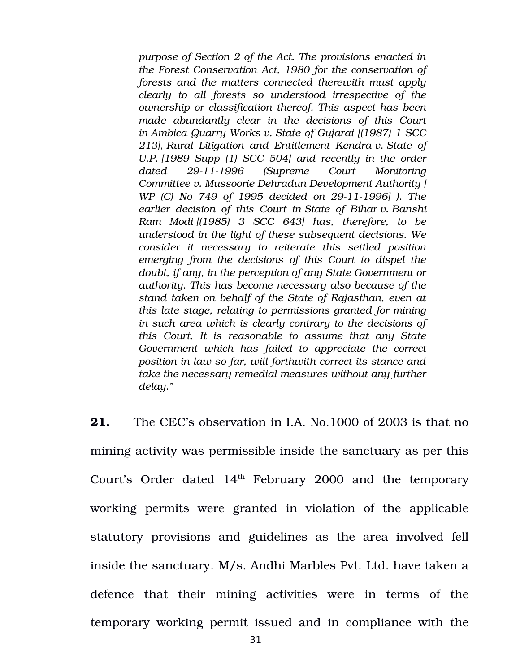*purpose of Section 2 of the Act. The provisions enacted in the Forest Conservation Act, 1980 for the conservation of forests and the matters connected therewith must apply clearly to all forests so understood irrespective of the ownership or classification thereof. This aspect has been made abundantly clear in the decisions of this Court in Ambica Quarry Works v. State of Gujarat [(1987) 1 SCC 213], Rural Litigation and Entitlement Kendra v. State of U.P. [1989 Supp (1) SCC 504] and recently in the order dated 29111996 (Supreme Court Monitoring Committee v. Mussoorie Dehradun Development Authority [ WP* (C) No 749 of 1995 decided on 29-11-1996] ). The *earlier decision of this Court in State of Bihar v. Banshi Ram Modi [(1985) 3 SCC 643] has, therefore, to be understood in the light of these subsequent decisions. We consider it necessary to reiterate this settled position emerging from the decisions of this Court to dispel the doubt, if any, in the perception of any State Government or authority. This has become necessary also because of the stand taken on behalf of the State of Rajasthan, even at this late stage, relating to permissions granted for mining in such area which is clearly contrary to the decisions of this Court. It is reasonable to assume that any State Government which has failed to appreciate the correct position in law so far, will forthwith correct its stance and take the necessary remedial measures without any further delay."*

**21.** The CEC's observation in I.A. No.1000 of 2003 is that no mining activity was permissible inside the sanctuary as per this Court's Order dated  $14<sup>th</sup>$  February 2000 and the temporary working permits were granted in violation of the applicable statutory provisions and guidelines as the area involved fell inside the sanctuary. M/s. Andhi Marbles Pvt. Ltd. have taken a defence that their mining activities were in terms of the temporary working permit issued and in compliance with the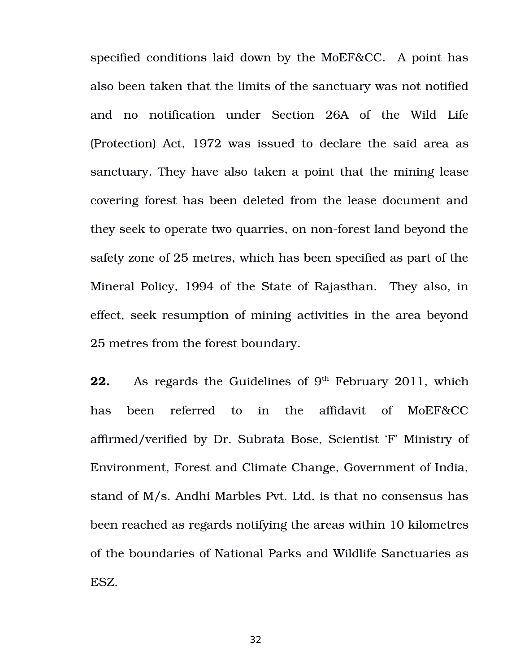specified conditions laid down by the MoEF&CC. A point has also been taken that the limits of the sanctuary was not notified and no notification under Section 26A of the Wild Life (Protection) Act, 1972 was issued to declare the said area as sanctuary. They have also taken a point that the mining lease covering forest has been deleted from the lease document and they seek to operate two quarries, on non-forest land beyond the safety zone of 25 metres, which has been specified as part of the Mineral Policy, 1994 of the State of Rajasthan. They also, in effect, seek resumption of mining activities in the area beyond 25 metres from the forest boundary.

**22.** As regards the Guidelines of 9<sup>th</sup> February 2011, which has been referred to in the affidavit of MoEF&CC affirmed/verified by Dr. Subrata Bose, Scientist 'F' Ministry of Environment, Forest and Climate Change, Government of India, stand of M/s. Andhi Marbles Pvt. Ltd. is that no consensus has been reached as regards notifying the areas within 10 kilometres of the boundaries of National Parks and Wildlife Sanctuaries as ESZ.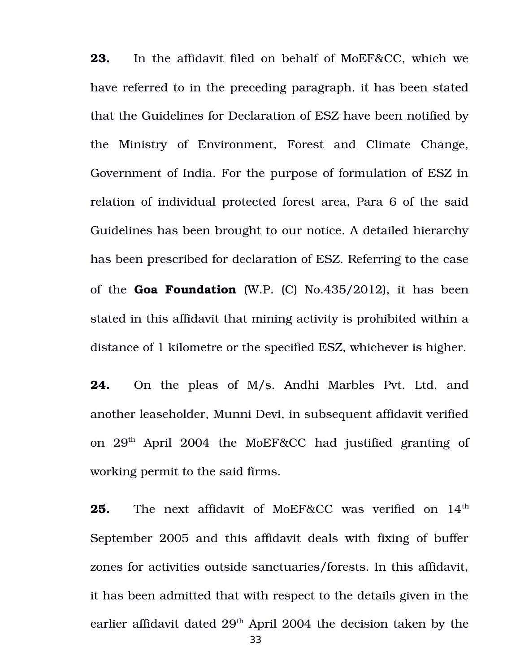**23.** In the affidavit filed on behalf of MoEF&CC, which we have referred to in the preceding paragraph, it has been stated that the Guidelines for Declaration of ESZ have been notified by the Ministry of Environment, Forest and Climate Change, Government of India. For the purpose of formulation of ESZ in relation of individual protected forest area, Para 6 of the said Guidelines has been brought to our notice. A detailed hierarchy has been prescribed for declaration of ESZ. Referring to the case of the **Goa Foundation** (W.P. (C) No.435/2012), it has been stated in this affidavit that mining activity is prohibited within a distance of 1 kilometre or the specified ESZ, whichever is higher.

**24.** On the pleas of M/s. Andhi Marbles Pvt. Ltd. and another leaseholder, Munni Devi, in subsequent affidavit verified on 29<sup>th</sup> April 2004 the MoEF&CC had justified granting of working permit to the said firms.

**25.** The next affidavit of MoEF&CC was verified on  $14<sup>th</sup>$ September 2005 and this affidavit deals with fixing of buffer zones for activities outside sanctuaries/forests. In this affidavit, it has been admitted that with respect to the details given in the earlier affidavit dated  $29<sup>th</sup>$  April 2004 the decision taken by the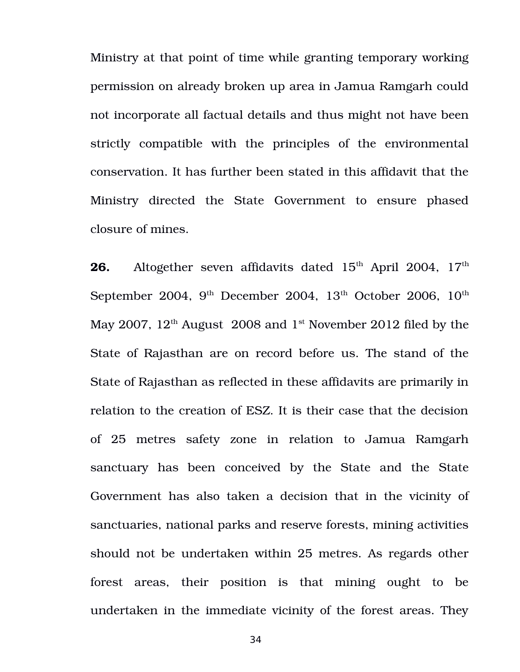Ministry at that point of time while granting temporary working permission on already broken up area in Jamua Ramgarh could not incorporate all factual details and thus might not have been strictly compatible with the principles of the environmental conservation. It has further been stated in this affidavit that the Ministry directed the State Government to ensure phased closure of mines.

**26.** Altogether seven affidavits dated 15<sup>th</sup> April 2004, 17<sup>th</sup> September 2004, 9<sup>th</sup> December 2004, 13<sup>th</sup> October 2006, 10<sup>th</sup> May 2007,  $12<sup>th</sup>$  August 2008 and  $1<sup>st</sup>$  November 2012 filed by the State of Rajasthan are on record before us. The stand of the State of Rajasthan as reflected in these affidavits are primarily in relation to the creation of ESZ. It is their case that the decision of 25 metres safety zone in relation to Jamua Ramgarh sanctuary has been conceived by the State and the State Government has also taken a decision that in the vicinity of sanctuaries, national parks and reserve forests, mining activities should not be undertaken within 25 metres. As regards other forest areas, their position is that mining ought to be undertaken in the immediate vicinity of the forest areas. They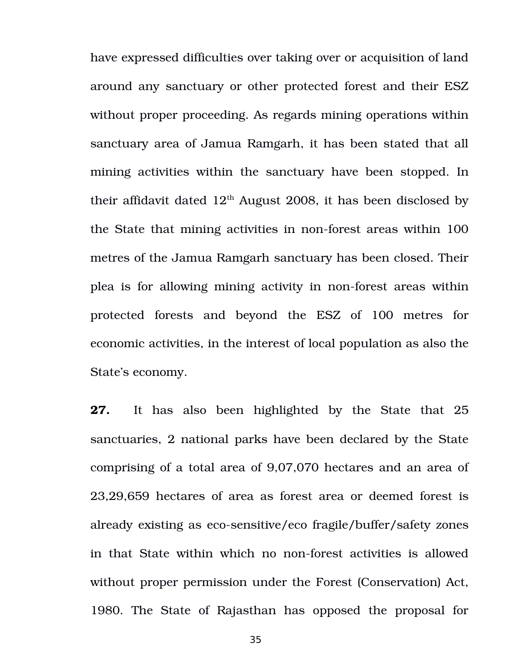have expressed difficulties over taking over or acquisition of land around any sanctuary or other protected forest and their ESZ without proper proceeding. As regards mining operations within sanctuary area of Jamua Ramgarh, it has been stated that all mining activities within the sanctuary have been stopped. In their affidavit dated  $12<sup>th</sup>$  August 2008, it has been disclosed by the State that mining activities in non-forest areas within 100 metres of the Jamua Ramgarh sanctuary has been closed. Their plea is for allowing mining activity in non-forest areas within protected forests and beyond the ESZ of 100 metres for economic activities, in the interest of local population as also the State's economy.

**27.** It has also been highlighted by the State that 25 sanctuaries, 2 national parks have been declared by the State comprising of a total area of 9,07,070 hectares and an area of 23,29,659 hectares of area as forest area or deemed forest is already existing as eco-sensitive/eco fragile/buffer/safety zones in that State within which no non-forest activities is allowed without proper permission under the Forest (Conservation) Act, 1980. The State of Rajasthan has opposed the proposal for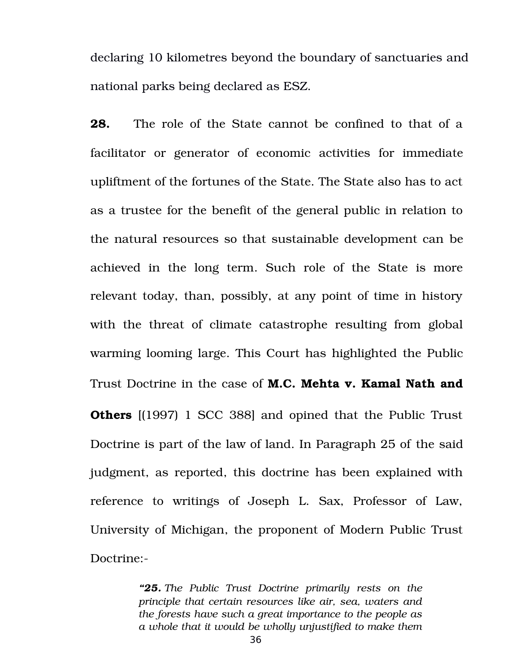declaring 10 kilometres beyond the boundary of sanctuaries and national parks being declared as ESZ.

**28.**  The role of the State cannot be confined to that of a facilitator or generator of economic activities for immediate upliftment of the fortunes of the State. The State also has to act as a trustee for the benefit of the general public in relation to the natural resources so that sustainable development can be achieved in the long term. Such role of the State is more relevant today, than, possibly, at any point of time in history with the threat of climate catastrophe resulting from global warming looming large. This Court has highlighted the Public Trust Doctrine in the case of **M.C. Mehta v. Kamal Nath and Others** [(1997) 1 SCC 388] and opined that the Public Trust Doctrine is part of the law of land. In Paragraph 25 of the said judgment, as reported, this doctrine has been explained with reference to writings of Joseph L. Sax, Professor of Law, University of Michigan, the proponent of Modern Public Trust Doctrine:

> *"25. The Public Trust Doctrine primarily rests on the principle that certain resources like air, sea, waters and the forests have such a great importance to the people as a whole that it would be wholly unjustified to make them*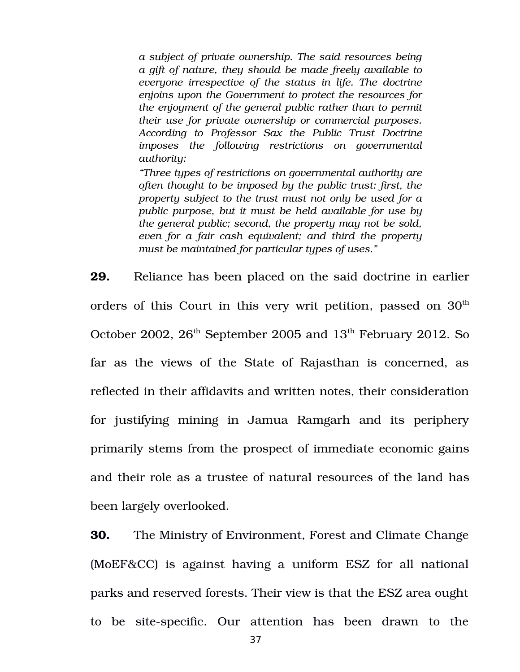*a subject of private ownership. The said resources being a gift of nature, they should be made freely available to everyone irrespective of the status in life. The doctrine enjoins upon the Government to protect the resources for the enjoyment of the general public rather than to permit their use for private ownership or commercial purposes. According to Professor Sax the Public Trust Doctrine imposes the following restrictions on governmental authority:*

*"Three types of restrictions on governmental authority are often thought to be imposed by the public trust: first, the property subject to the trust must not only be used for a public purpose, but it must be held available for use by the general public; second, the property may not be sold, even for a fair cash equivalent; and third the property must be maintained for particular types of uses."*

**29.** Reliance has been placed on the said doctrine in earlier orders of this Court in this very writ petition, passed on  $30<sup>th</sup>$ October 2002,  $26<sup>th</sup>$  September 2005 and  $13<sup>th</sup>$  February 2012. So far as the views of the State of Rajasthan is concerned, as reflected in their affidavits and written notes, their consideration for justifying mining in Jamua Ramgarh and its periphery primarily stems from the prospect of immediate economic gains and their role as a trustee of natural resources of the land has been largely overlooked.

**30.** The Ministry of Environment, Forest and Climate Change (MoEF&CC) is against having a uniform ESZ for all national parks and reserved forests. Their view is that the ESZ area ought to be site-specific. Our attention has been drawn to the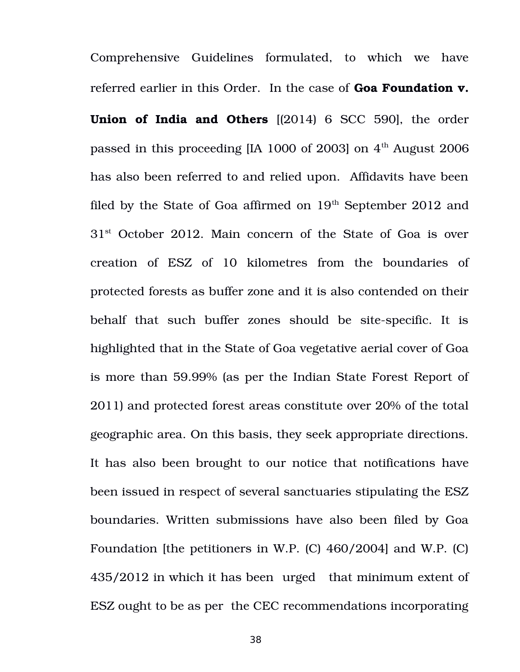Comprehensive Guidelines formulated, to which we have referred earlier in this Order. In the case of **Goa Foundation v. Union of India and Others** [(2014) 6 SCC 590], the order passed in this proceeding [IA 1000 of 2003] on  $4<sup>th</sup>$  August 2006 has also been referred to and relied upon. Affidavits have been filed by the State of Goa affirmed on  $19<sup>th</sup>$  September 2012 and  $31<sup>st</sup>$  October 2012. Main concern of the State of Goa is over creation of ESZ of 10 kilometres from the boundaries of protected forests as buffer zone and it is also contended on their behalf that such buffer zones should be site-specific. It is highlighted that in the State of Goa vegetative aerial cover of Goa is more than 59.99% (as per the Indian State Forest Report of 2011) and protected forest areas constitute over 20% of the total geographic area. On this basis, they seek appropriate directions. It has also been brought to our notice that notifications have been issued in respect of several sanctuaries stipulating the ESZ boundaries. Written submissions have also been filed by Goa Foundation [the petitioners in W.P. (C) 460/2004] and W.P. (C) 435/2012 in which it has been urged that minimum extent of ESZ ought to be as per the CEC recommendations incorporating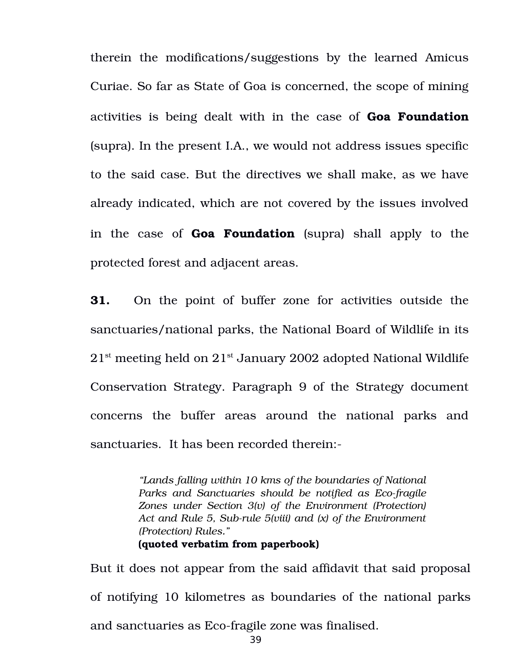therein the modifications/suggestions by the learned Amicus Curiae. So far as State of Goa is concerned, the scope of mining activities is being dealt with in the case of **Goa Foundation** (supra). In the present I.A., we would not address issues specific to the said case. But the directives we shall make, as we have already indicated, which are not covered by the issues involved in the case of **Goa Foundation** (supra) shall apply to the protected forest and adjacent areas.

**31.** On the point of buffer zone for activities outside the sanctuaries/national parks, the National Board of Wildlife in its  $21<sup>st</sup>$  meeting held on  $21<sup>st</sup>$  January 2002 adopted National Wildlife Conservation Strategy. Paragraph 9 of the Strategy document concerns the buffer areas around the national parks and sanctuaries. It has been recorded therein:

> *"Lands falling within 10 kms of the boundaries of National* Parks and Sanctuaries should be notified as Eco-fragile *Zones under Section 3(v) of the Environment (Protection) Act and Rule 5, Subrule 5(viii) and (x) of the Environment (Protection) Rules."* **(quoted verbatim from paperbook)**

But it does not appear from the said affidavit that said proposal of notifying 10 kilometres as boundaries of the national parks and sanctuaries as Eco-fragile zone was finalised. 39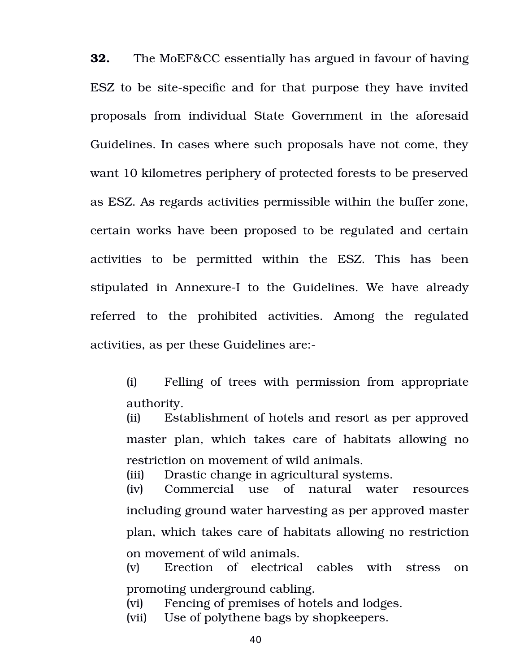**32.** The MoEF&CC essentially has argued in favour of having ESZ to be site-specific and for that purpose they have invited proposals from individual State Government in the aforesaid Guidelines. In cases where such proposals have not come, they want 10 kilometres periphery of protected forests to be preserved as ESZ. As regards activities permissible within the buffer zone, certain works have been proposed to be regulated and certain activities to be permitted within the ESZ. This has been stipulated in Annexure-I to the Guidelines. We have already referred to the prohibited activities. Among the regulated activities, as per these Guidelines are:

(i) Felling of trees with permission from appropriate authority.

(ii) Establishment of hotels and resort as per approved master plan, which takes care of habitats allowing no restriction on movement of wild animals.

(iii) Drastic change in agricultural systems.

(iv) Commercial use of natural water resources including ground water harvesting as per approved master plan, which takes care of habitats allowing no restriction on movement of wild animals.

(v) Erection of electrical cables with stress on promoting underground cabling.

(vi) Fencing of premises of hotels and lodges.

(vii) Use of polythene bags by shopkeepers.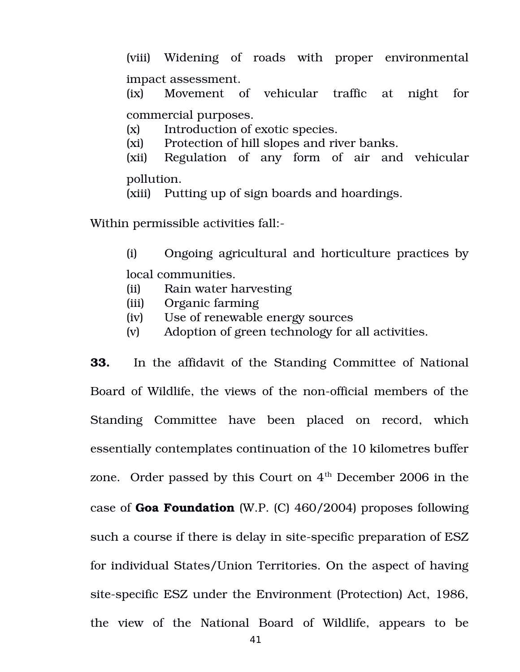(viii) Widening of roads with proper environmental impact assessment.

(ix) Movement of vehicular traffic at night for commercial purposes.

(x) Introduction of exotic species.

(xi) Protection of hill slopes and river banks.

(xii) Regulation of any form of air and vehicular pollution.

(xiii) Putting up of sign boards and hoardings.

Within permissible activities fall:

(i) Ongoing agricultural and horticulture practices by local communities.

- (ii) Rain water harvesting
- (iii) Organic farming
- (iv) Use of renewable energy sources
- (v) Adoption of green technology for all activities.

**33.** In the affidavit of the Standing Committee of National Board of Wildlife, the views of the non-official members of the Standing Committee have been placed on record, which essentially contemplates continuation of the 10 kilometres buffer zone. Order passed by this Court on  $4<sup>th</sup>$  December 2006 in the case of **Goa Foundation** (W.P. (C) 460/2004) proposes following such a course if there is delay in site-specific preparation of ESZ for individual States/Union Territories. On the aspect of having site-specific ESZ under the Environment (Protection) Act, 1986, the view of the National Board of Wildlife, appears to be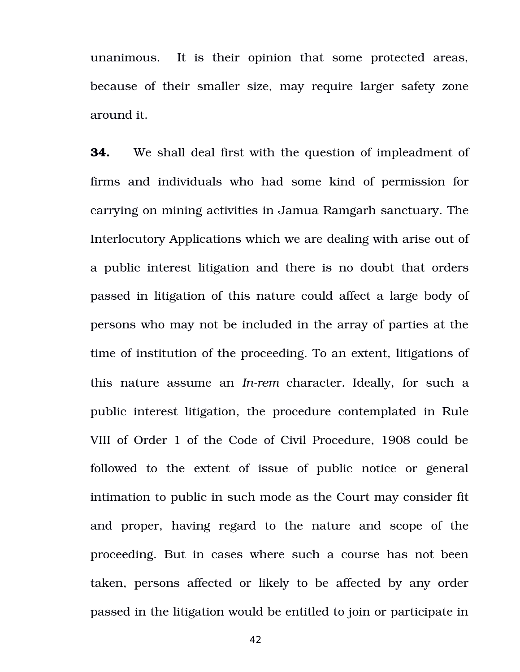unanimous. It is their opinion that some protected areas, because of their smaller size, may require larger safety zone around it.

**34.** We shall deal first with the question of impleadment of firms and individuals who had some kind of permission for carrying on mining activities in Jamua Ramgarh sanctuary. The Interlocutory Applications which we are dealing with arise out of a public interest litigation and there is no doubt that orders passed in litigation of this nature could affect a large body of persons who may not be included in the array of parties at the time of institution of the proceeding. To an extent, litigations of this nature assume an *In-rem* character. Ideally, for such a public interest litigation, the procedure contemplated in Rule VIII of Order 1 of the Code of Civil Procedure, 1908 could be followed to the extent of issue of public notice or general intimation to public in such mode as the Court may consider fit and proper, having regard to the nature and scope of the proceeding. But in cases where such a course has not been taken, persons affected or likely to be affected by any order passed in the litigation would be entitled to join or participate in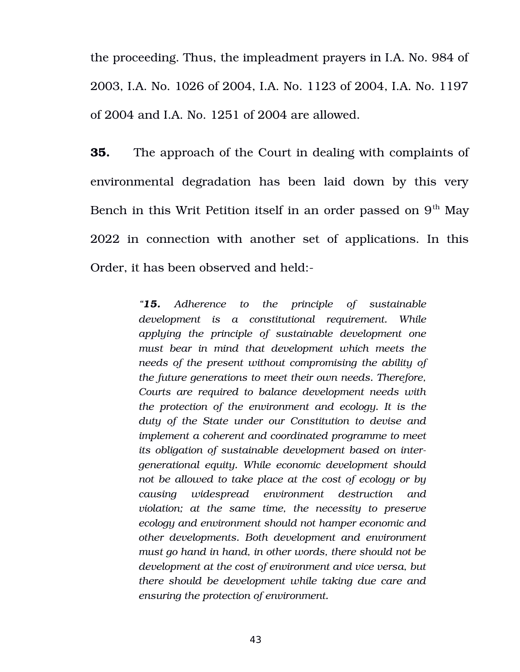the proceeding. Thus, the impleadment prayers in I.A. No. 984 of 2003, I.A. No. 1026 of 2004, I.A. No. 1123 of 2004, I.A. No. 1197 of 2004 and I.A. No. 1251 of 2004 are allowed.

**35.** The approach of the Court in dealing with complaints of environmental degradation has been laid down by this very Bench in this Writ Petition itself in an order passed on  $9<sup>th</sup>$  May 2022 in connection with another set of applications. In this Order, it has been observed and held:

> *"15. Adherence to the principle of sustainable development is a constitutional requirement. While applying the principle of sustainable development one must bear in mind that development which meets the needs of the present without compromising the ability of the future generations to meet their own needs. Therefore, Courts are required to balance development needs with the protection of the environment and ecology. It is the duty of the State under our Constitution to devise and implement a coherent and coordinated programme to meet its obligation of sustainable development based on intergenerational equity. While economic development should not be allowed to take place at the cost of ecology or by causing widespread environment destruction and violation; at the same time, the necessity to preserve ecology and environment should not hamper economic and other developments. Both development and environment must go hand in hand, in other words, there should not be development at the cost of environment and vice versa, but there should be development while taking due care and ensuring the protection of environment.*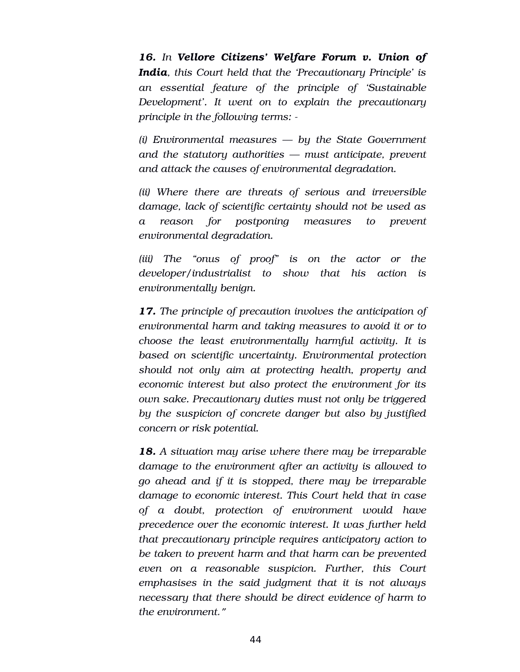16. In Vellore Citizens' Welfare Forum v. Union of *India, this Court held that the 'Precautionary Principle' is an essential feature of the principle of 'Sustainable Development'. It went on to explain the precautionary principle in the following terms:* 

*(i) Environmental measures — by the State Government and the statutory authorities — must anticipate, prevent and attack the causes of environmental degradation.* 

*(ii) Where there are threats of serious and irreversible damage, lack of scientific certainty should not be used as a reason for postponing measures to prevent environmental degradation.* 

*(iii) The "onus of proof" is on the actor or the developer/industrialist to show that his action is environmentally benign.*

*17. The principle of precaution involves the anticipation of environmental harm and taking measures to avoid it or to choose the least environmentally harmful activity. It is based on scientific uncertainty. Environmental protection should not only aim at protecting health, property and economic interest but also protect the environment for its own sake. Precautionary duties must not only be triggered by the suspicion of concrete danger but also by justified concern or risk potential.*

*18. A situation may arise where there may be irreparable damage to the environment after an activity is allowed to go ahead and if it is stopped, there may be irreparable damage to economic interest. This Court held that in case of a doubt, protection of environment would have precedence over the economic interest. It was further held that precautionary principle requires anticipatory action to be taken to prevent harm and that harm can be prevented even on a reasonable suspicion. Further, this Court emphasises in the said judgment that it is not always necessary that there should be direct evidence of harm to the environment*."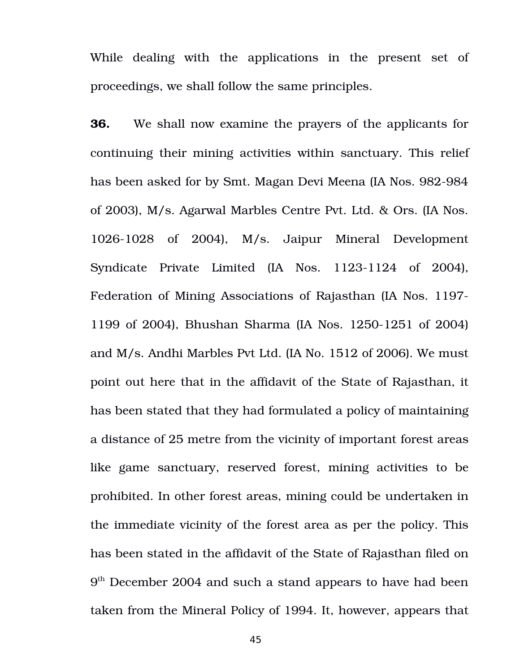While dealing with the applications in the present set of proceedings, we shall follow the same principles.

**36.** We shall now examine the prayers of the applicants for continuing their mining activities within sanctuary. This relief has been asked for by Smt. Magan Devi Meena (IA Nos. 982-984 of 2003), M/s. Agarwal Marbles Centre Pvt. Ltd. & Ors. (IA Nos. 1026-1028 of 2004), M/s. Jaipur Mineral Development Syndicate Private Limited (IA Nos. 1123-1124 of 2004), Federation of Mining Associations of Rajasthan (IA Nos. 1197 1199 of 2004), Bhushan Sharma (IA Nos. 1250-1251 of 2004) and M/s. Andhi Marbles Pvt Ltd. (IA No. 1512 of 2006). We must point out here that in the affidavit of the State of Rajasthan, it has been stated that they had formulated a policy of maintaining a distance of 25 metre from the vicinity of important forest areas like game sanctuary, reserved forest, mining activities to be prohibited. In other forest areas, mining could be undertaken in the immediate vicinity of the forest area as per the policy. This has been stated in the affidavit of the State of Rajasthan filed on 9<sup>th</sup> December 2004 and such a stand appears to have had been taken from the Mineral Policy of 1994. It, however, appears that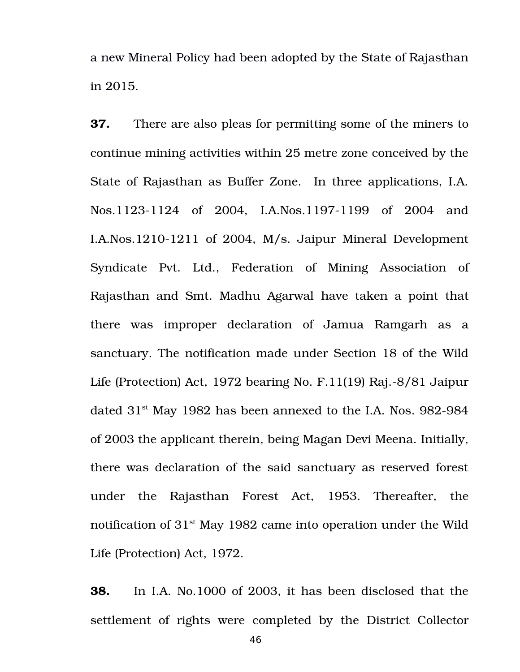a new Mineral Policy had been adopted by the State of Rajasthan in 2015.

**37.** There are also pleas for permitting some of the miners to continue mining activities within 25 metre zone conceived by the State of Rajasthan as Buffer Zone. In three applications, I.A. Nos.1123-1124 of 2004, I.A.Nos.1197-1199 of 2004 and I.A.Nos.1210-1211 of 2004, M/s. Jaipur Mineral Development Syndicate Pvt. Ltd., Federation of Mining Association of Rajasthan and Smt. Madhu Agarwal have taken a point that there was improper declaration of Jamua Ramgarh as a sanctuary. The notification made under Section 18 of the Wild Life (Protection) Act, 1972 bearing No. F.11(19) Raj. $-8/81$  Jaipur dated  $31<sup>st</sup>$  May 1982 has been annexed to the I.A. Nos. 982-984 of 2003 the applicant therein, being Magan Devi Meena. Initially, there was declaration of the said sanctuary as reserved forest under the Rajasthan Forest Act, 1953. Thereafter, the notification of  $31<sup>st</sup>$  May 1982 came into operation under the Wild Life (Protection) Act, 1972.

**38.** In I.A. No.1000 of 2003, it has been disclosed that the settlement of rights were completed by the District Collector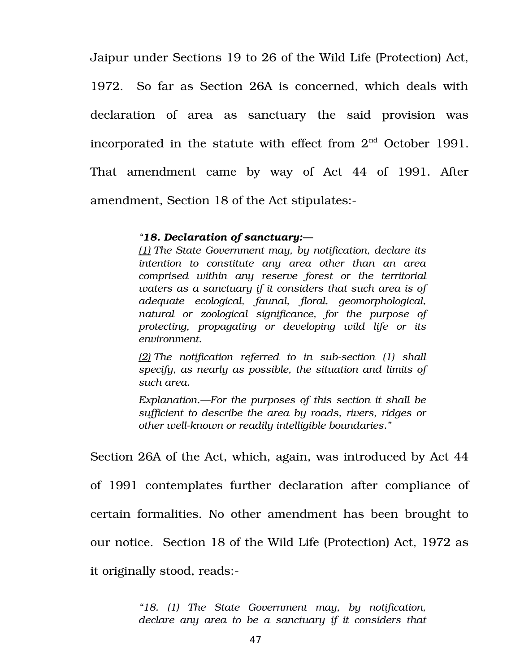Jaipur under Sections 19 to 26 of the Wild Life (Protection) Act, 1972. So far as Section 26A is concerned, which deals with declaration of area as sanctuary the said provision was incorporated in the statute with effect from  $2<sup>nd</sup>$  October 1991. That amendment came by way of Act 44 of 1991. After amendment, Section 18 of the Act stipulates:

#### *"18. Declaration of sanctuary:—*

*[\(1\)](https://indiankanoon.org/doc/1105950/) The State Government may, by notification, declare its intention to constitute any area other than an area comprised within any reserve forest or the territorial waters as a sanctuary if it considers that such area is of adequate ecological, faunal, floral, geomorphological, natural or zoological significance, for the purpose of protecting, propagating or developing wild life or its environment.*

*[\(2\)](https://indiankanoon.org/doc/319407/) The notification referred to in subsection (1) shall specify, as nearly as possible, the situation and limits of such area.* 

*Explanation.—For the purposes of this section it shall be sufficient to describe the area by roads, rivers, ridges or* other well-known or readily intelligible boundaries."

Section 26A of the Act, which, again, was introduced by Act 44 of 1991 contemplates further declaration after compliance of certain formalities. No other amendment has been brought to our notice. Section 18 of the Wild Life (Protection) Act, 1972 as it originally stood, reads:

> *"18. (1) The State Government may, by notification, declare any area to be a sanctuary if it considers that*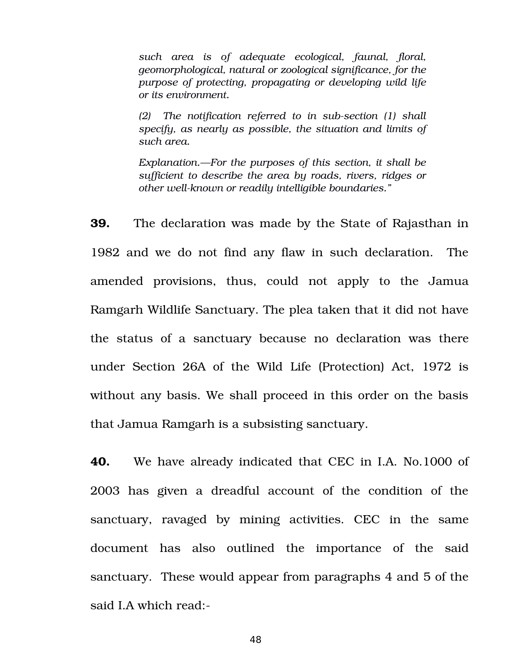*such area is of adequate ecological, faunal, floral, geomorphological, natural or zoological significance, for the purpose of protecting, propagating or developing wild life or its environment.* 

*(2) The notification referred to in subsection (1) shall specify, as nearly as possible, the situation and limits of such area.*

*Explanation.—For the purposes of this section, it shall be sufficient to describe the area by roads, rivers, ridges or* other well-known or readily intelligible boundaries."

**39.** The declaration was made by the State of Rajasthan in 1982 and we do not find any flaw in such declaration. The amended provisions, thus, could not apply to the Jamua Ramgarh Wildlife Sanctuary. The plea taken that it did not have the status of a sanctuary because no declaration was there under Section 26A of the Wild Life (Protection) Act, 1972 is without any basis. We shall proceed in this order on the basis that Jamua Ramgarh is a subsisting sanctuary.

**40.** We have already indicated that CEC in I.A. No.1000 of 2003 has given a dreadful account of the condition of the sanctuary, ravaged by mining activities. CEC in the same document has also outlined the importance of the said sanctuary. These would appear from paragraphs 4 and 5 of the said I.A which read: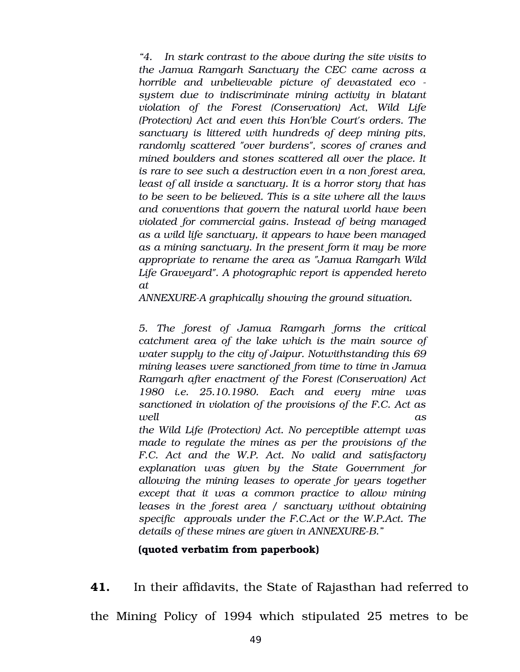*"4. In stark contrast to the above during the site visits to the Jamua Ramgarh Sanctuary the CEC came across a horrible and unbelievable picture of devastated eco system due to indiscriminate mining activity in blatant violation of the Forest (Conservation) Act, Wild Life (Protection) Act and even this Hon'ble Court's orders. The sanctuary is littered with hundreds of deep mining pits, randomly scattered "over burdens", scores of cranes and mined boulders and stones scattered all over the place. It is rare to see such a destruction even in a non forest area, least of all inside a sanctuary. It is a horror story that has to be seen to be believed. This is a site where all the laws and conventions that govern the natural world have been violated for commercial gains. Instead of being managed as a wild life sanctuary, it appears to have been managed as a mining sanctuary. In the present form it may be more appropriate to rename the area as "Jamua Ramgarh Wild Life Graveyard". A photographic report is appended hereto at*

*ANNEXUREA graphically showing the ground situation.*

*5. The forest of Jamua Ramgarh forms the critical catchment area of the lake which is the main source of water supply to the city of Jaipur. Notwithstanding this 69 mining leases were sanctioned from time to time in Jamua Ramgarh after enactment of the Forest (Conservation) Act 1980 i.e. 25.10.1980. Each and every mine was sanctioned in violation of the provisions of the F.C. Act as well as*

*the Wild Life (Protection) Act. No perceptible attempt was made to regulate the mines as per the provisions of the F.C. Act and the W.P. Act. No valid and satisfactory explanation was given by the State Government for allowing the mining leases to operate for years together except that it was a common practice to allow mining leases in the forest area / sanctuary without obtaining specific approvals under the F.C.Act or the W.P.Act. The details of these mines are given in ANNEXUREB."*

### **(quoted verbatim from paperbook)**

**41.** In their affidavits, the State of Rajasthan had referred to the Mining Policy of 1994 which stipulated 25 metres to be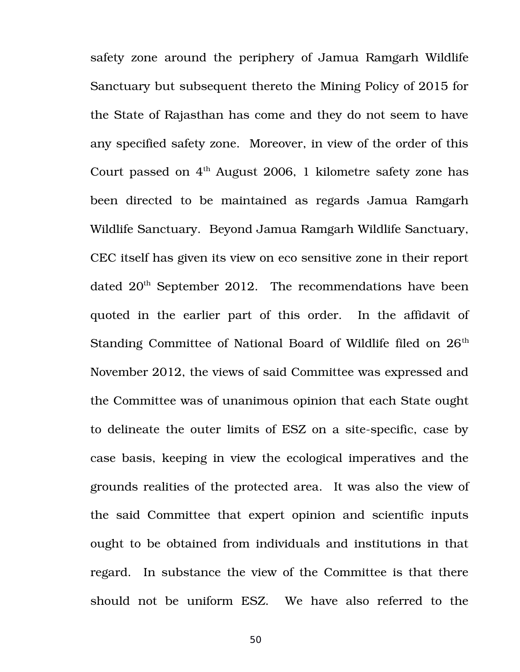safety zone around the periphery of Jamua Ramgarh Wildlife Sanctuary but subsequent thereto the Mining Policy of 2015 for the State of Rajasthan has come and they do not seem to have any specified safety zone. Moreover, in view of the order of this Court passed on  $4<sup>th</sup>$  August 2006, 1 kilometre safety zone has been directed to be maintained as regards Jamua Ramgarh Wildlife Sanctuary. Beyond Jamua Ramgarh Wildlife Sanctuary, CEC itself has given its view on eco sensitive zone in their report dated 20<sup>th</sup> September 2012. The recommendations have been quoted in the earlier part of this order. In the affidavit of Standing Committee of National Board of Wildlife filed on  $26<sup>th</sup>$ November 2012, the views of said Committee was expressed and the Committee was of unanimous opinion that each State ought to delineate the outer limits of ESZ on a site-specific, case by case basis, keeping in view the ecological imperatives and the grounds realities of the protected area. It was also the view of the said Committee that expert opinion and scientific inputs ought to be obtained from individuals and institutions in that regard. In substance the view of the Committee is that there should not be uniform ESZ. We have also referred to the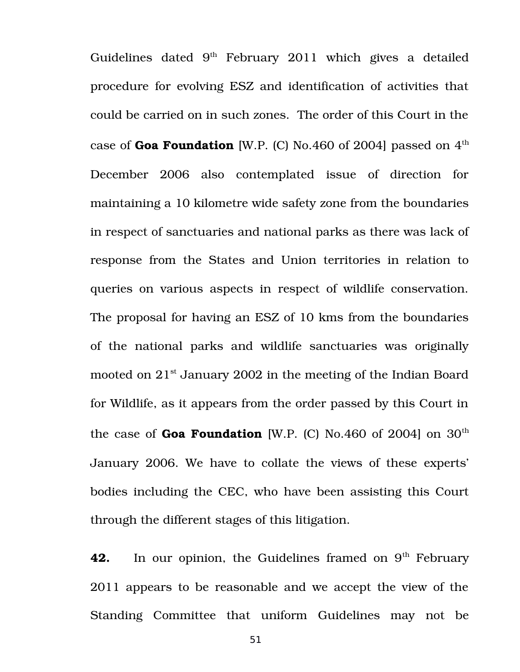Guidelines dated  $9<sup>th</sup>$  February 2011 which gives a detailed procedure for evolving ESZ and identification of activities that could be carried on in such zones. The order of this Court in the case of Goa Foundation [W.P. (C) No.460 of 2004] passed on 4<sup>th</sup> December 2006 also contemplated issue of direction for maintaining a 10 kilometre wide safety zone from the boundaries in respect of sanctuaries and national parks as there was lack of response from the States and Union territories in relation to queries on various aspects in respect of wildlife conservation. The proposal for having an ESZ of 10 kms from the boundaries of the national parks and wildlife sanctuaries was originally mooted on 21<sup>st</sup> January 2002 in the meeting of the Indian Board for Wildlife, as it appears from the order passed by this Court in the case of **Goa Foundation** [W.P. (C) No.460 of 2004] on  $30<sup>th</sup>$ January 2006. We have to collate the views of these experts' bodies including the CEC, who have been assisting this Court through the different stages of this litigation.

**42.** In our opinion, the Guidelines framed on 9<sup>th</sup> February 2011 appears to be reasonable and we accept the view of the Standing Committee that uniform Guidelines may not be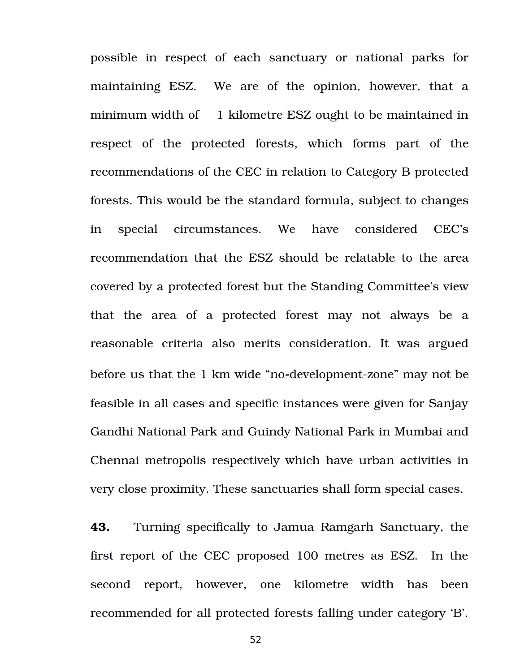possible in respect of each sanctuary or national parks for maintaining ESZ. We are of the opinion, however, that a minimum width of 1 kilometre ESZ ought to be maintained in respect of the protected forests, which forms part of the recommendations of the CEC in relation to Category B protected forests. This would be the standard formula, subject to changes in special circumstances. We have considered CEC's recommendation that the ESZ should be relatable to the area covered by a protected forest but the Standing Committee's view that the area of a protected forest may not always be a reasonable criteria also merits consideration. It was argued before us that the 1 km wide "no-development-zone" may not be feasible in all cases and specific instances were given for Sanjay Gandhi National Park and Guindy National Park in Mumbai and Chennai metropolis respectively which have urban activities in very close proximity. These sanctuaries shall form special cases.

**43.** Turning specifically to Jamua Ramgarh Sanctuary, the first report of the CEC proposed 100 metres as ESZ. In the second report, however, one kilometre width has been recommended for all protected forests falling under category 'B'.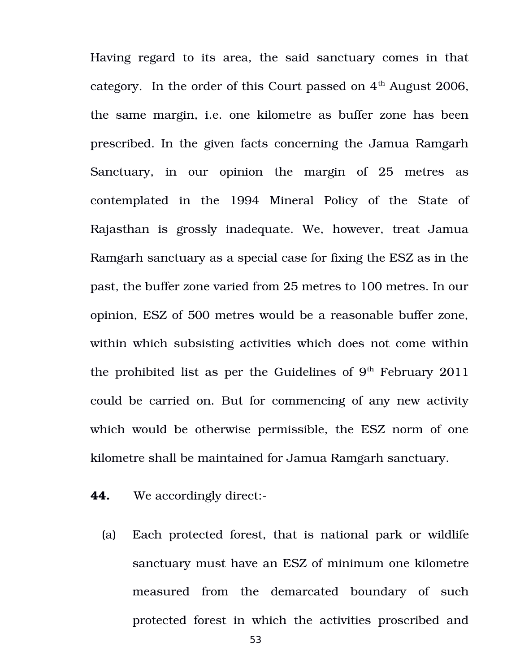Having regard to its area, the said sanctuary comes in that category. In the order of this Court passed on  $4<sup>th</sup>$  August 2006, the same margin, i.e. one kilometre as buffer zone has been prescribed. In the given facts concerning the Jamua Ramgarh Sanctuary, in our opinion the margin of 25 metres as contemplated in the 1994 Mineral Policy of the State of Rajasthan is grossly inadequate. We, however, treat Jamua Ramgarh sanctuary as a special case for fixing the ESZ as in the past, the buffer zone varied from 25 metres to 100 metres. In our opinion, ESZ of 500 metres would be a reasonable buffer zone, within which subsisting activities which does not come within the prohibited list as per the Guidelines of  $9<sup>th</sup>$  February 2011 could be carried on. But for commencing of any new activity which would be otherwise permissible, the ESZ norm of one kilometre shall be maintained for Jamua Ramgarh sanctuary.

- **44.** We accordingly direct:
	- (a) Each protected forest, that is national park or wildlife sanctuary must have an ESZ of minimum one kilometre measured from the demarcated boundary of such protected forest in which the activities proscribed and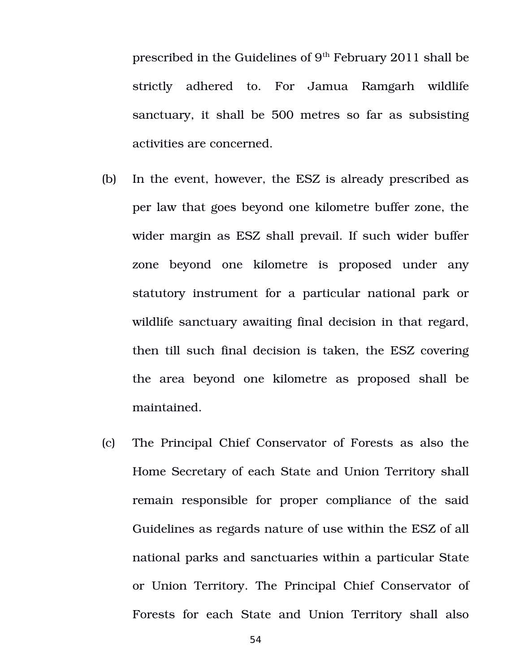prescribed in the Guidelines of  $9<sup>th</sup>$  February 2011 shall be strictly adhered to. For Jamua Ramgarh wildlife sanctuary, it shall be 500 metres so far as subsisting activities are concerned.

- (b) In the event, however, the ESZ is already prescribed as per law that goes beyond one kilometre buffer zone, the wider margin as ESZ shall prevail. If such wider buffer zone beyond one kilometre is proposed under any statutory instrument for a particular national park or wildlife sanctuary awaiting final decision in that regard, then till such final decision is taken, the ESZ covering the area beyond one kilometre as proposed shall be maintained.
- (c) The Principal Chief Conservator of Forests as also the Home Secretary of each State and Union Territory shall remain responsible for proper compliance of the said Guidelines as regards nature of use within the ESZ of all national parks and sanctuaries within a particular State or Union Territory. The Principal Chief Conservator of Forests for each State and Union Territory shall also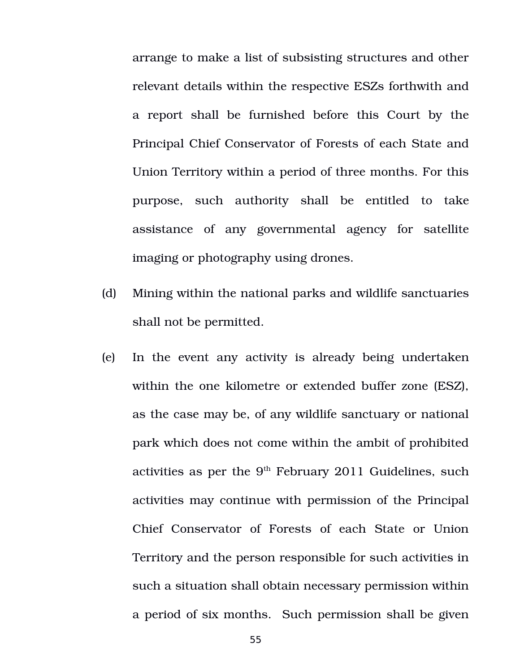arrange to make a list of subsisting structures and other relevant details within the respective ESZs forthwith and a report shall be furnished before this Court by the Principal Chief Conservator of Forests of each State and Union Territory within a period of three months. For this purpose, such authority shall be entitled to take assistance of any governmental agency for satellite imaging or photography using drones.

- (d) Mining within the national parks and wildlife sanctuaries shall not be permitted.
- (e) In the event any activity is already being undertaken within the one kilometre or extended buffer zone (ESZ), as the case may be, of any wildlife sanctuary or national park which does not come within the ambit of prohibited activities as per the  $9<sup>th</sup>$  February 2011 Guidelines, such activities may continue with permission of the Principal Chief Conservator of Forests of each State or Union Territory and the person responsible for such activities in such a situation shall obtain necessary permission within a period of six months. Such permission shall be given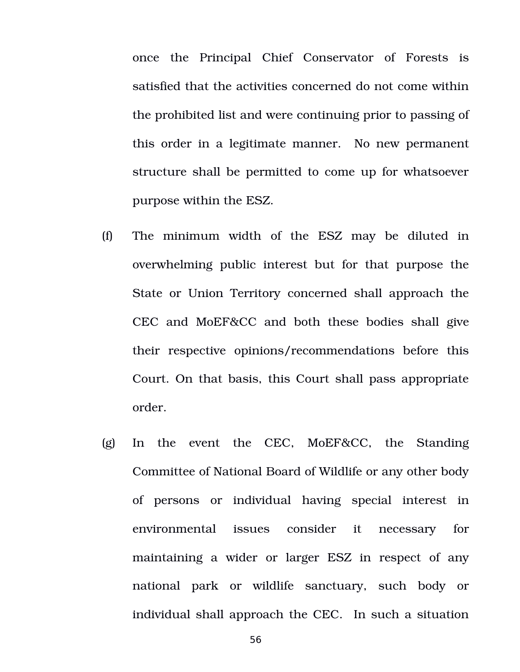once the Principal Chief Conservator of Forests is satisfied that the activities concerned do not come within the prohibited list and were continuing prior to passing of this order in a legitimate manner. No new permanent structure shall be permitted to come up for whatsoever purpose within the ESZ.

- (f) The minimum width of the ESZ may be diluted in overwhelming public interest but for that purpose the State or Union Territory concerned shall approach the CEC and MoEF&CC and both these bodies shall give their respective opinions/recommendations before this Court. On that basis, this Court shall pass appropriate order.
- $(g)$  In the event the CEC, MoEF&CC, the Standing Committee of National Board of Wildlife or any other body of persons or individual having special interest in environmental issues consider it necessary for maintaining a wider or larger ESZ in respect of any national park or wildlife sanctuary, such body or individual shall approach the CEC. In such a situation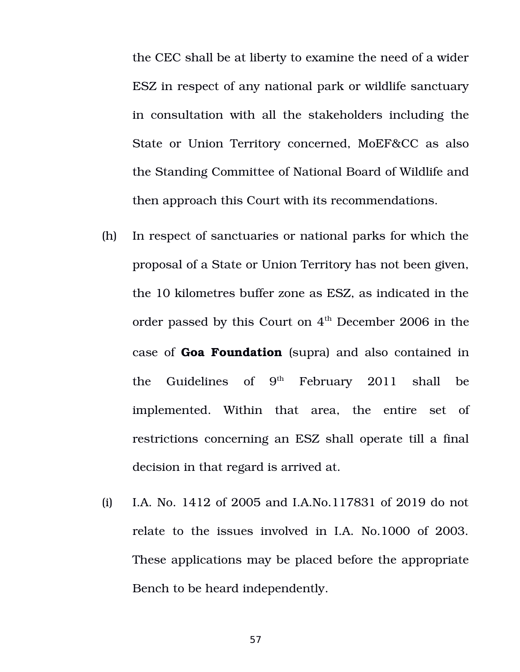the CEC shall be at liberty to examine the need of a wider ESZ in respect of any national park or wildlife sanctuary in consultation with all the stakeholders including the State or Union Territory concerned, MoEF&CC as also the Standing Committee of National Board of Wildlife and then approach this Court with its recommendations.

- (h) In respect of sanctuaries or national parks for which the proposal of a State or Union Territory has not been given, the 10 kilometres buffer zone as ESZ, as indicated in the order passed by this Court on  $4<sup>th</sup>$  December 2006 in the case of **Goa Foundation** (supra) and also contained in the Guidelines of  $9<sup>th</sup>$  February 2011 shall be implemented. Within that area, the entire set of restrictions concerning an ESZ shall operate till a final decision in that regard is arrived at.
- (i) I.A. No. 1412 of 2005 and I.A.No.117831 of 2019 do not relate to the issues involved in I.A. No.1000 of 2003. These applications may be placed before the appropriate Bench to be heard independently.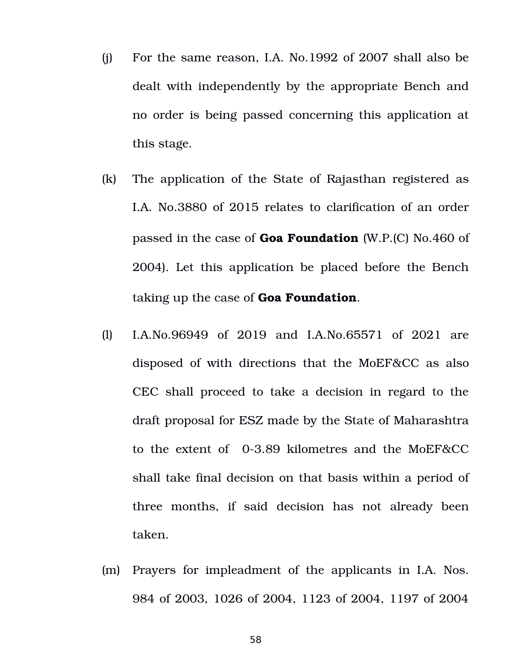- (j) For the same reason, I.A. No.1992 of 2007 shall also be dealt with independently by the appropriate Bench and no order is being passed concerning this application at this stage.
- (k) The application of the State of Rajasthan registered as I.A. No.3880 of 2015 relates to clarification of an order passed in the case of **Goa Foundation** (W.P.(C) No.460 of 2004). Let this application be placed before the Bench taking up the case of **Goa Foundation**.
- (l) I.A.No.96949 of 2019 and I.A.No.65571 of 2021 are disposed of with directions that the MoEF&CC as also CEC shall proceed to take a decision in regard to the draft proposal for ESZ made by the State of Maharashtra to the extent of 0-3.89 kilometres and the MoEF&CC shall take final decision on that basis within a period of three months, if said decision has not already been taken.
- (m) Prayers for impleadment of the applicants in I.A. Nos. 984 of 2003, 1026 of 2004, 1123 of 2004, 1197 of 2004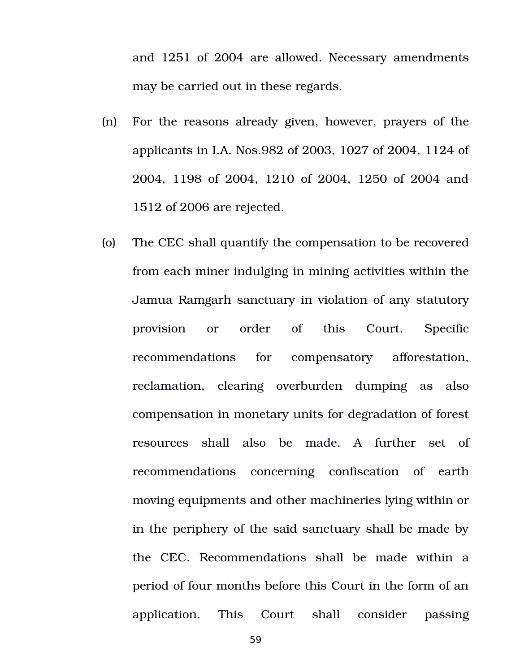and 1251 of 2004 are allowed. Necessary amendments may be carried out in these regards.

- (n) For the reasons already given, however, prayers of the applicants in I.A. Nos.982 of 2003, 1027 of 2004, 1124 of 2004, 1198 of 2004, 1210 of 2004, 1250 of 2004 and 1512 of 2006 are rejected.
- (o) The CEC shall quantify the compensation to be recovered from each miner indulging in mining activities within the Jamua Ramgarh sanctuary in violation of any statutory provision or order of this Court. Specific recommendations for compensatory afforestation, reclamation, clearing overburden dumping as also compensation in monetary units for degradation of forest resources shall also be made. A further set of recommendations concerning confiscation of earth moving equipments and other machineries lying within or in the periphery of the said sanctuary shall be made by the CEC. Recommendations shall be made within a period of four months before this Court in the form of an application. This Court shall consider passing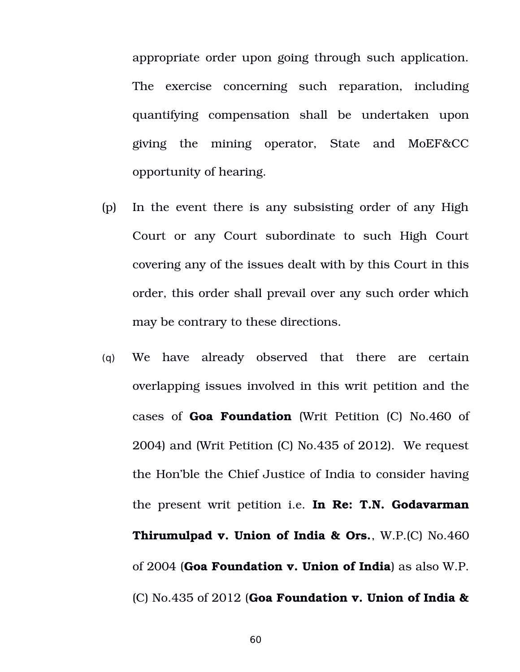appropriate order upon going through such application. The exercise concerning such reparation, including quantifying compensation shall be undertaken upon giving the mining operator, State and MoEF&CC opportunity of hearing.

- (p) In the event there is any subsisting order of any High Court or any Court subordinate to such High Court covering any of the issues dealt with by this Court in this order, this order shall prevail over any such order which may be contrary to these directions.
- (q) We have already observed that there are certain overlapping issues involved in this writ petition and the cases of **Goa Foundation** (Writ Petition (C) No.460 of 2004) and (Writ Petition (C) No.435 of 2012). We request the Hon'ble the Chief Justice of India to consider having the present writ petition i.e. **In Re: T.N. Godavarman Thirumulpad v. Union of India & Ors.**, W.P.(C) No.460 of 2004 (**Goa Foundation v. Union of India**) as also W.P. (C) No.435 of 2012 (**Goa Foundation v. Union of India &**